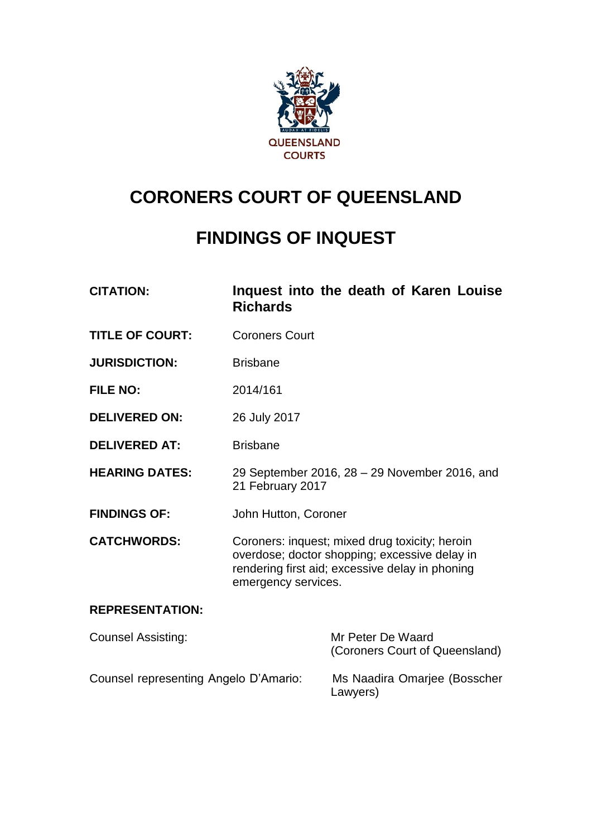

# **CORONERS COURT OF QUEENSLAND**

## **FINDINGS OF INQUEST**

| <b>CITATION:</b>                      | <b>Richards</b>                                                                                                                                                           | Inquest into the death of Karen Louise              |
|---------------------------------------|---------------------------------------------------------------------------------------------------------------------------------------------------------------------------|-----------------------------------------------------|
| <b>TITLE OF COURT:</b>                | <b>Coroners Court</b>                                                                                                                                                     |                                                     |
| <b>JURISDICTION:</b>                  | <b>Brisbane</b>                                                                                                                                                           |                                                     |
| <b>FILE NO:</b>                       | 2014/161                                                                                                                                                                  |                                                     |
| <b>DELIVERED ON:</b>                  | 26 July 2017                                                                                                                                                              |                                                     |
| <b>DELIVERED AT:</b>                  | <b>Brisbane</b>                                                                                                                                                           |                                                     |
| <b>HEARING DATES:</b>                 | 29 September 2016, 28 - 29 November 2016, and<br>21 February 2017                                                                                                         |                                                     |
| <b>FINDINGS OF:</b>                   | John Hutton, Coroner                                                                                                                                                      |                                                     |
| <b>CATCHWORDS:</b>                    | Coroners: inquest; mixed drug toxicity; heroin<br>overdose; doctor shopping; excessive delay in<br>rendering first aid; excessive delay in phoning<br>emergency services. |                                                     |
| <b>REPRESENTATION:</b>                |                                                                                                                                                                           |                                                     |
| <b>Counsel Assisting:</b>             |                                                                                                                                                                           | Mr Peter De Waard<br>(Coroners Court of Queensland) |
| Counsel representing Angelo D'Amario: |                                                                                                                                                                           | Ms Naadira Omarjee (Bosscher<br>Lawyers)            |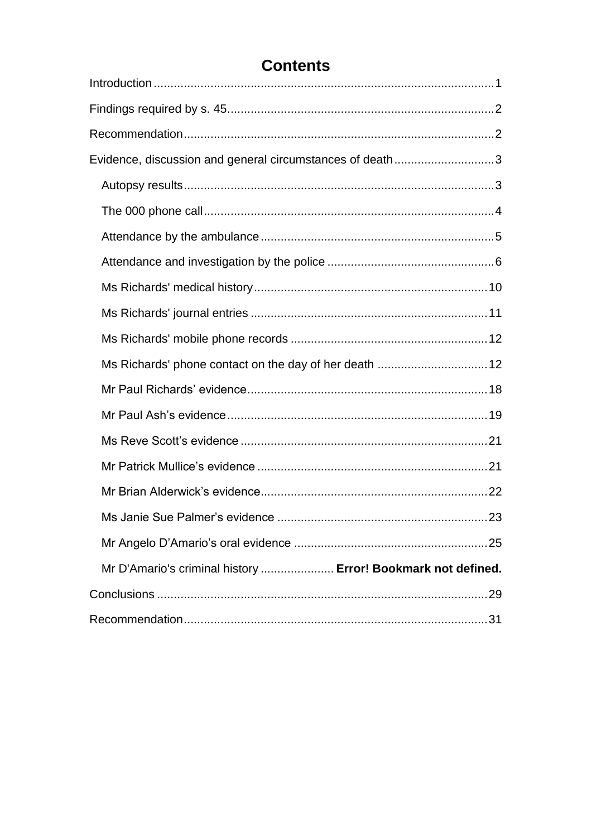## **Contents**

| Evidence, discussion and general circumstances of death3     |  |
|--------------------------------------------------------------|--|
|                                                              |  |
|                                                              |  |
|                                                              |  |
|                                                              |  |
|                                                              |  |
|                                                              |  |
|                                                              |  |
| Ms Richards' phone contact on the day of her death  12       |  |
|                                                              |  |
|                                                              |  |
|                                                              |  |
|                                                              |  |
|                                                              |  |
|                                                              |  |
|                                                              |  |
| Mr D'Amario's criminal history  Error! Bookmark not defined. |  |
|                                                              |  |
|                                                              |  |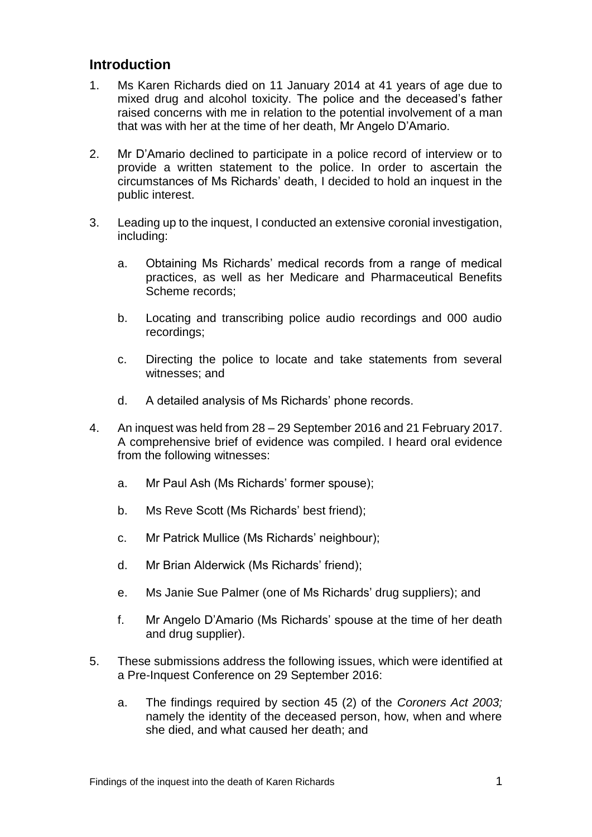## <span id="page-2-0"></span>**Introduction**

- 1. Ms Karen Richards died on 11 January 2014 at 41 years of age due to mixed drug and alcohol toxicity. The police and the deceased's father raised concerns with me in relation to the potential involvement of a man that was with her at the time of her death, Mr Angelo D'Amario.
- 2. Mr D'Amario declined to participate in a police record of interview or to provide a written statement to the police. In order to ascertain the circumstances of Ms Richards' death, I decided to hold an inquest in the public interest.
- 3. Leading up to the inquest, I conducted an extensive coronial investigation, including:
	- a. Obtaining Ms Richards' medical records from a range of medical practices, as well as her Medicare and Pharmaceutical Benefits Scheme records;
	- b. Locating and transcribing police audio recordings and 000 audio recordings;
	- c. Directing the police to locate and take statements from several witnesses; and
	- d. A detailed analysis of Ms Richards' phone records.
- 4. An inquest was held from 28 29 September 2016 and 21 February 2017. A comprehensive brief of evidence was compiled. I heard oral evidence from the following witnesses:
	- a. Mr Paul Ash (Ms Richards' former spouse);
	- b. Ms Reve Scott (Ms Richards' best friend);
	- c. Mr Patrick Mullice (Ms Richards' neighbour);
	- d. Mr Brian Alderwick (Ms Richards' friend);
	- e. Ms Janie Sue Palmer (one of Ms Richards' drug suppliers); and
	- f. Mr Angelo D'Amario (Ms Richards' spouse at the time of her death and drug supplier).
- 5. These submissions address the following issues, which were identified at a Pre-Inquest Conference on 29 September 2016:
	- a. The findings required by section 45 (2) of the *Coroners Act 2003;* namely the identity of the deceased person, how, when and where she died, and what caused her death; and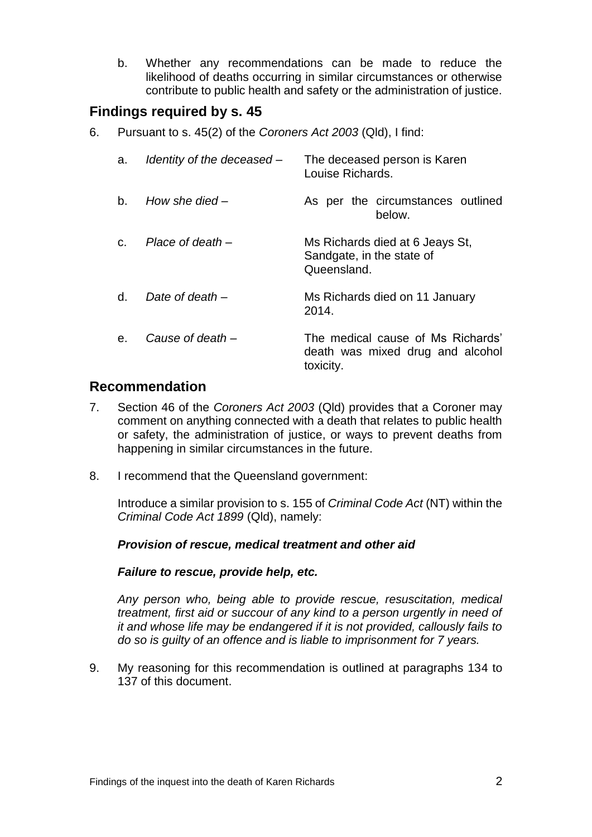b. Whether any recommendations can be made to reduce the likelihood of deaths occurring in similar circumstances or otherwise contribute to public health and safety or the administration of justice.

## <span id="page-3-0"></span>**Findings required by s. 45**

6. Pursuant to s. 45(2) of the *Coroners Act 2003* (Qld), I find:

| a.      | Identity of the deceased - | The deceased person is Karen<br>Louise Richards.                                   |
|---------|----------------------------|------------------------------------------------------------------------------------|
| $b_{-}$ | How she died $-$           | As per the circumstances outlined<br>below.                                        |
| C.      | Place of death –           | Ms Richards died at 6 Jeays St,<br>Sandgate, in the state of<br>Queensland.        |
| d.      | Date of death $-$          | Ms Richards died on 11 January<br>2014.                                            |
| e.      | Cause of death –           | The medical cause of Ms Richards'<br>death was mixed drug and alcohol<br>toxicity. |

## <span id="page-3-1"></span>**Recommendation**

- 7. Section 46 of the *Coroners Act 2003* (Qld) provides that a Coroner may comment on anything connected with a death that relates to public health or safety, the administration of justice, or ways to prevent deaths from happening in similar circumstances in the future.
- 8. I recommend that the Queensland government:

Introduce a similar provision to s. 155 of *Criminal Code Act* (NT) within the *Criminal Code Act 1899* (Qld), namely:

#### *Provision of rescue, medical treatment and other aid*

#### *Failure to rescue, provide help, etc.*

*Any person who, being able to provide rescue, resuscitation, medical treatment, first aid or succour of any kind to a person urgently in need of it and whose life may be endangered if it is not provided, callously fails to do so is guilty of an offence and is liable to imprisonment for 7 years.*

9. My reasoning for this recommendation is outlined at paragraphs 134 to 137 of this document.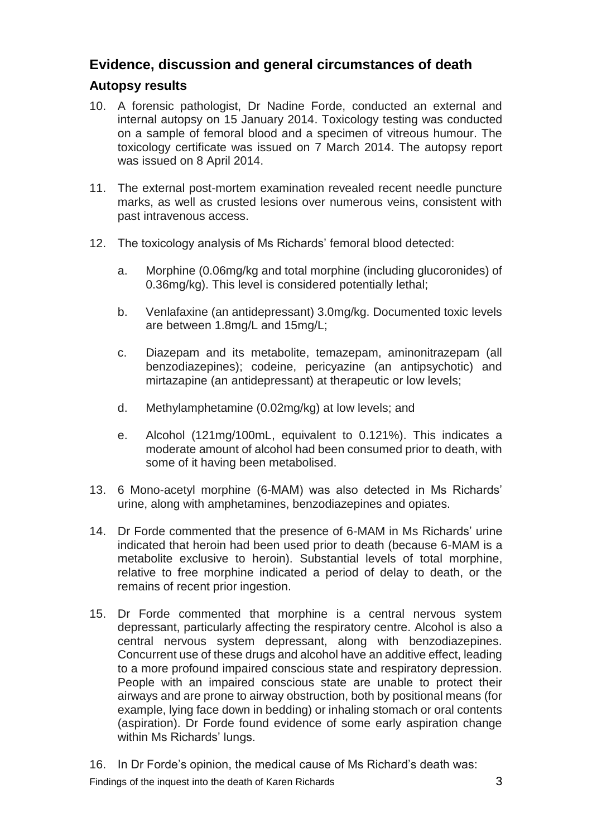## <span id="page-4-0"></span>**Evidence, discussion and general circumstances of death**

## <span id="page-4-1"></span>**Autopsy results**

- 10. A forensic pathologist, Dr Nadine Forde, conducted an external and internal autopsy on 15 January 2014. Toxicology testing was conducted on a sample of femoral blood and a specimen of vitreous humour. The toxicology certificate was issued on 7 March 2014. The autopsy report was issued on 8 April 2014.
- 11. The external post-mortem examination revealed recent needle puncture marks, as well as crusted lesions over numerous veins, consistent with past intravenous access.
- 12. The toxicology analysis of Ms Richards' femoral blood detected:
	- a. Morphine (0.06mg/kg and total morphine (including glucoronides) of 0.36mg/kg). This level is considered potentially lethal;
	- b. Venlafaxine (an antidepressant) 3.0mg/kg. Documented toxic levels are between 1.8mg/L and 15mg/L;
	- c. Diazepam and its metabolite, temazepam, aminonitrazepam (all benzodiazepines); codeine, pericyazine (an antipsychotic) and mirtazapine (an antidepressant) at therapeutic or low levels;
	- d. Methylamphetamine (0.02mg/kg) at low levels; and
	- e. Alcohol (121mg/100mL, equivalent to 0.121%). This indicates a moderate amount of alcohol had been consumed prior to death, with some of it having been metabolised.
- 13. 6 Mono-acetyl morphine (6-MAM) was also detected in Ms Richards' urine, along with amphetamines, benzodiazepines and opiates.
- 14. Dr Forde commented that the presence of 6-MAM in Ms Richards' urine indicated that heroin had been used prior to death (because 6-MAM is a metabolite exclusive to heroin). Substantial levels of total morphine, relative to free morphine indicated a period of delay to death, or the remains of recent prior ingestion.
- 15. Dr Forde commented that morphine is a central nervous system depressant, particularly affecting the respiratory centre. Alcohol is also a central nervous system depressant, along with benzodiazepines. Concurrent use of these drugs and alcohol have an additive effect, leading to a more profound impaired conscious state and respiratory depression. People with an impaired conscious state are unable to protect their airways and are prone to airway obstruction, both by positional means (for example, lying face down in bedding) or inhaling stomach or oral contents (aspiration). Dr Forde found evidence of some early aspiration change within Ms Richards' lungs.
- 16. In Dr Forde's opinion, the medical cause of Ms Richard's death was:

Findings of the inquest into the death of Karen Richards **3** and  $\overline{3}$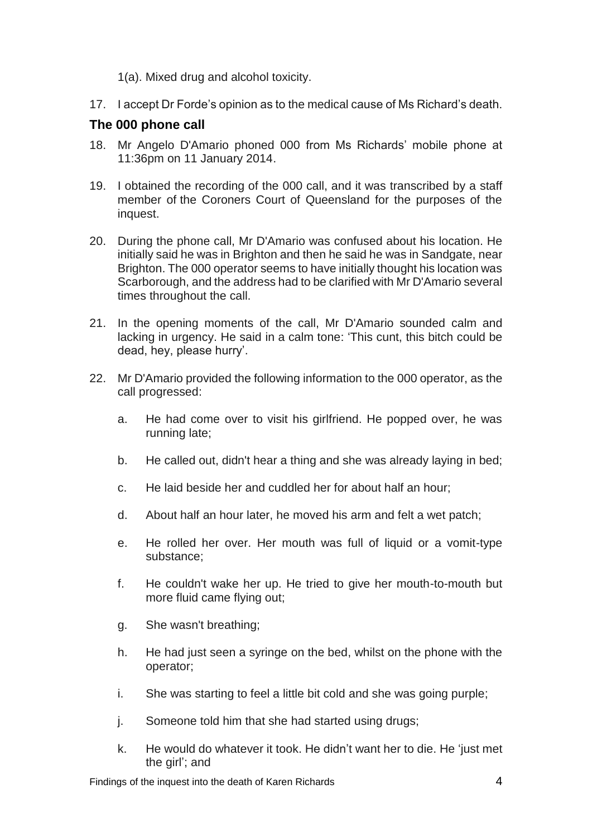1(a). Mixed drug and alcohol toxicity.

17. I accept Dr Forde's opinion as to the medical cause of Ms Richard's death.

## <span id="page-5-0"></span>**The 000 phone call**

- 18. Mr Angelo D'Amario phoned 000 from Ms Richards' mobile phone at 11:36pm on 11 January 2014.
- 19. I obtained the recording of the 000 call, and it was transcribed by a staff member of the Coroners Court of Queensland for the purposes of the inquest.
- 20. During the phone call, Mr D'Amario was confused about his location. He initially said he was in Brighton and then he said he was in Sandgate, near Brighton. The 000 operator seems to have initially thought his location was Scarborough, and the address had to be clarified with Mr D'Amario several times throughout the call.
- 21. In the opening moments of the call, Mr D'Amario sounded calm and lacking in urgency. He said in a calm tone: 'This cunt, this bitch could be dead, hey, please hurry'.
- 22. Mr D'Amario provided the following information to the 000 operator, as the call progressed:
	- a. He had come over to visit his girlfriend. He popped over, he was running late;
	- b. He called out, didn't hear a thing and she was already laying in bed;
	- c. He laid beside her and cuddled her for about half an hour;
	- d. About half an hour later, he moved his arm and felt a wet patch;
	- e. He rolled her over. Her mouth was full of liquid or a vomit-type substance;
	- f. He couldn't wake her up. He tried to give her mouth-to-mouth but more fluid came flying out;
	- g. She wasn't breathing;
	- h. He had just seen a syringe on the bed, whilst on the phone with the operator;
	- i. She was starting to feel a little bit cold and she was going purple;
	- j. Someone told him that she had started using drugs;
	- k. He would do whatever it took. He didn't want her to die. He 'just met the girl'; and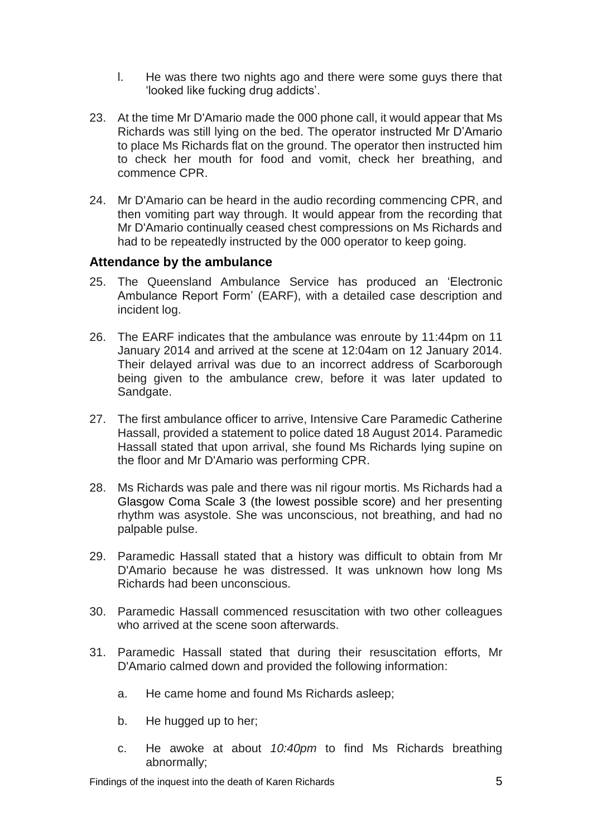- l. He was there two nights ago and there were some guys there that 'looked like fucking drug addicts'.
- 23. At the time Mr D'Amario made the 000 phone call, it would appear that Ms Richards was still lying on the bed. The operator instructed Mr D'Amario to place Ms Richards flat on the ground. The operator then instructed him to check her mouth for food and vomit, check her breathing, and commence CPR.
- 24. Mr D'Amario can be heard in the audio recording commencing CPR, and then vomiting part way through. It would appear from the recording that Mr D'Amario continually ceased chest compressions on Ms Richards and had to be repeatedly instructed by the 000 operator to keep going.

#### <span id="page-6-0"></span>**Attendance by the ambulance**

- 25. The Queensland Ambulance Service has produced an 'Electronic Ambulance Report Form' (EARF), with a detailed case description and incident log.
- 26. The EARF indicates that the ambulance was enroute by 11:44pm on 11 January 2014 and arrived at the scene at 12:04am on 12 January 2014. Their delayed arrival was due to an incorrect address of Scarborough being given to the ambulance crew, before it was later updated to Sandgate.
- 27. The first ambulance officer to arrive, Intensive Care Paramedic Catherine Hassall, provided a statement to police dated 18 August 2014. Paramedic Hassall stated that upon arrival, she found Ms Richards lying supine on the floor and Mr D'Amario was performing CPR.
- 28. Ms Richards was pale and there was nil rigour mortis. Ms Richards had a Glasgow Coma Scale 3 (the lowest possible score) and her presenting rhythm was asystole. She was unconscious, not breathing, and had no palpable pulse.
- 29. Paramedic Hassall stated that a history was difficult to obtain from Mr D'Amario because he was distressed. It was unknown how long Ms Richards had been unconscious.
- 30. Paramedic Hassall commenced resuscitation with two other colleagues who arrived at the scene soon afterwards.
- 31. Paramedic Hassall stated that during their resuscitation efforts, Mr D'Amario calmed down and provided the following information:
	- a. He came home and found Ms Richards asleep;
	- b. He hugged up to her;
	- c. He awoke at about *10:40pm* to find Ms Richards breathing abnormally;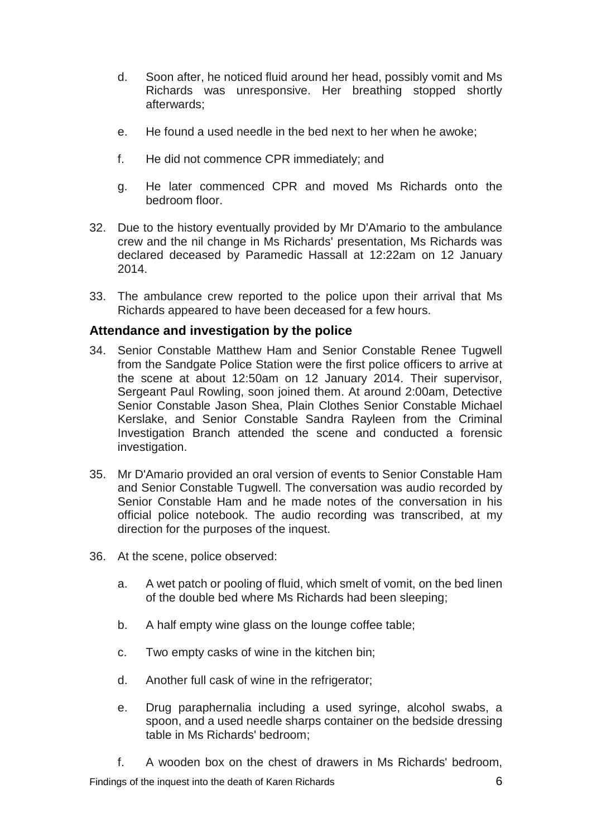- d. Soon after, he noticed fluid around her head, possibly vomit and Ms Richards was unresponsive. Her breathing stopped shortly afterwards;
- e. He found a used needle in the bed next to her when he awoke;
- f. He did not commence CPR immediately; and
- g. He later commenced CPR and moved Ms Richards onto the bedroom floor.
- 32. Due to the history eventually provided by Mr D'Amario to the ambulance crew and the nil change in Ms Richards' presentation, Ms Richards was declared deceased by Paramedic Hassall at 12:22am on 12 January 2014.
- 33. The ambulance crew reported to the police upon their arrival that Ms Richards appeared to have been deceased for a few hours.

### <span id="page-7-0"></span>**Attendance and investigation by the police**

- 34. Senior Constable Matthew Ham and Senior Constable Renee Tugwell from the Sandgate Police Station were the first police officers to arrive at the scene at about 12:50am on 12 January 2014. Their supervisor, Sergeant Paul Rowling, soon joined them. At around 2:00am, Detective Senior Constable Jason Shea, Plain Clothes Senior Constable Michael Kerslake, and Senior Constable Sandra Rayleen from the Criminal Investigation Branch attended the scene and conducted a forensic investigation.
- 35. Mr D'Amario provided an oral version of events to Senior Constable Ham and Senior Constable Tugwell. The conversation was audio recorded by Senior Constable Ham and he made notes of the conversation in his official police notebook. The audio recording was transcribed, at my direction for the purposes of the inquest.
- 36. At the scene, police observed:
	- a. A wet patch or pooling of fluid, which smelt of vomit, on the bed linen of the double bed where Ms Richards had been sleeping;
	- b. A half empty wine glass on the lounge coffee table;
	- c. Two empty casks of wine in the kitchen bin;
	- d. Another full cask of wine in the refrigerator;
	- e. Drug paraphernalia including a used syringe, alcohol swabs, a spoon, and a used needle sharps container on the bedside dressing table in Ms Richards' bedroom;
	- f. A wooden box on the chest of drawers in Ms Richards' bedroom,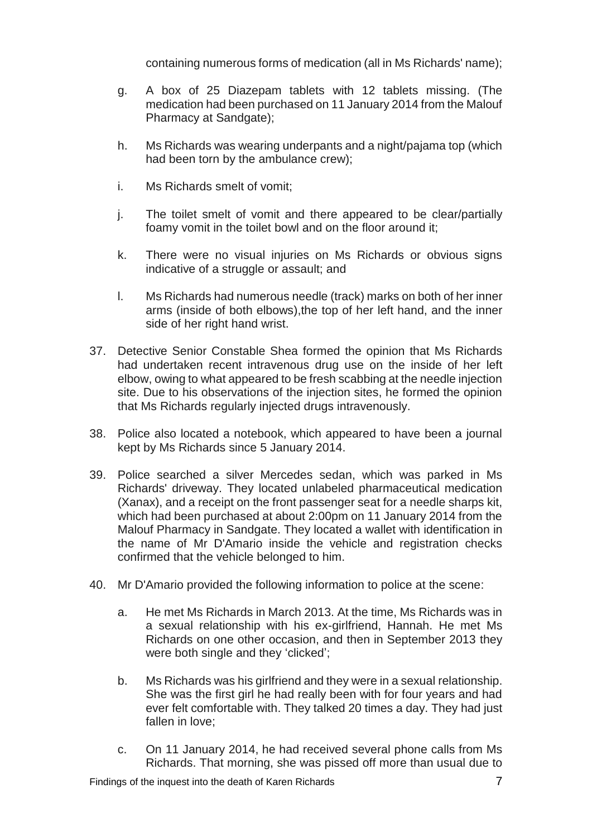containing numerous forms of medication (all in Ms Richards' name);

- g. A box of 25 Diazepam tablets with 12 tablets missing. (The medication had been purchased on 11 January 2014 from the Malouf Pharmacy at Sandgate);
- h. Ms Richards was wearing underpants and a night/pajama top (which had been torn by the ambulance crew);
- i. Ms Richards smelt of vomit;
- j. The toilet smelt of vomit and there appeared to be clear/partially foamy vomit in the toilet bowl and on the floor around it;
- k. There were no visual injuries on Ms Richards or obvious signs indicative of a struggle or assault; and
- l. Ms Richards had numerous needle (track) marks on both of her inner arms (inside of both elbows),the top of her left hand, and the inner side of her right hand wrist.
- 37. Detective Senior Constable Shea formed the opinion that Ms Richards had undertaken recent intravenous drug use on the inside of her left elbow, owing to what appeared to be fresh scabbing at the needle injection site. Due to his observations of the injection sites, he formed the opinion that Ms Richards regularly injected drugs intravenously.
- 38. Police also located a notebook, which appeared to have been a journal kept by Ms Richards since 5 January 2014.
- 39. Police searched a silver Mercedes sedan, which was parked in Ms Richards' driveway. They located unlabeled pharmaceutical medication (Xanax), and a receipt on the front passenger seat for a needle sharps kit, which had been purchased at about 2:00pm on 11 January 2014 from the Malouf Pharmacy in Sandgate. They located a wallet with identification in the name of Mr D'Amario inside the vehicle and registration checks confirmed that the vehicle belonged to him.
- 40. Mr D'Amario provided the following information to police at the scene:
	- a. He met Ms Richards in March 2013. At the time, Ms Richards was in a sexual relationship with his ex-girlfriend, Hannah. He met Ms Richards on one other occasion, and then in September 2013 they were both single and they 'clicked';
	- b. Ms Richards was his girlfriend and they were in a sexual relationship. She was the first girl he had really been with for four years and had ever felt comfortable with. They talked 20 times a day. They had just fallen in love;
	- c. On 11 January 2014, he had received several phone calls from Ms Richards. That morning, she was pissed off more than usual due to

Findings of the inquest into the death of Karen Richards **7** and the state 10 million of 7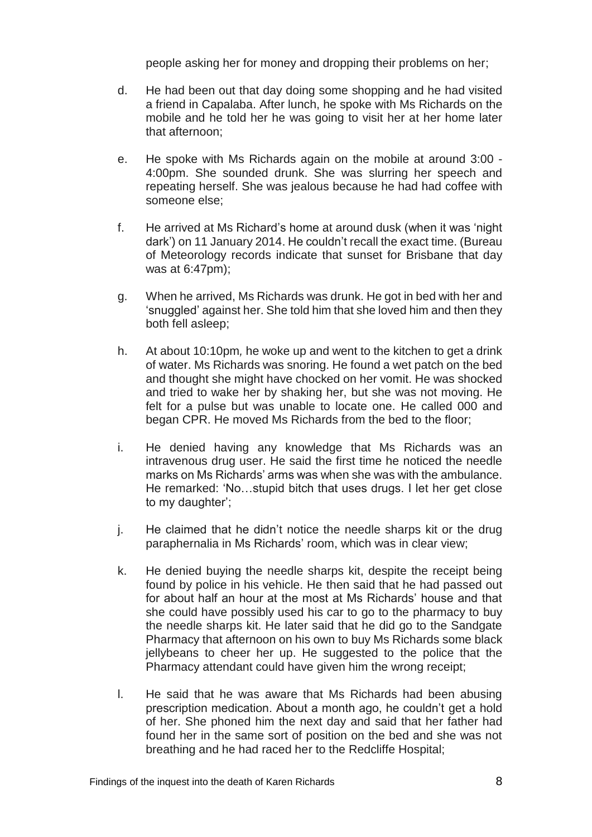people asking her for money and dropping their problems on her;

- d. He had been out that day doing some shopping and he had visited a friend in Capalaba. After lunch, he spoke with Ms Richards on the mobile and he told her he was going to visit her at her home later that afternoon;
- e. He spoke with Ms Richards again on the mobile at around 3:00 4:00pm. She sounded drunk. She was slurring her speech and repeating herself. She was jealous because he had had coffee with someone else;
- f. He arrived at Ms Richard's home at around dusk (when it was 'night dark') on 11 January 2014. He couldn't recall the exact time. (Bureau of Meteorology records indicate that sunset for Brisbane that day was at 6:47pm);
- g. When he arrived, Ms Richards was drunk. He got in bed with her and 'snuggled' against her. She told him that she loved him and then they both fell asleep;
- h. At about 10:10pm*,* he woke up and went to the kitchen to get a drink of water. Ms Richards was snoring. He found a wet patch on the bed and thought she might have chocked on her vomit. He was shocked and tried to wake her by shaking her, but she was not moving. He felt for a pulse but was unable to locate one. He called 000 and began CPR. He moved Ms Richards from the bed to the floor;
- i. He denied having any knowledge that Ms Richards was an intravenous drug user. He said the first time he noticed the needle marks on Ms Richards' arms was when she was with the ambulance. He remarked: 'No…stupid bitch that uses drugs. I let her get close to my daughter';
- j. He claimed that he didn't notice the needle sharps kit or the drug paraphernalia in Ms Richards' room, which was in clear view;
- k. He denied buying the needle sharps kit, despite the receipt being found by police in his vehicle. He then said that he had passed out for about half an hour at the most at Ms Richards' house and that she could have possibly used his car to go to the pharmacy to buy the needle sharps kit. He later said that he did go to the Sandgate Pharmacy that afternoon on his own to buy Ms Richards some black jellybeans to cheer her up. He suggested to the police that the Pharmacy attendant could have given him the wrong receipt;
- l. He said that he was aware that Ms Richards had been abusing prescription medication. About a month ago, he couldn't get a hold of her. She phoned him the next day and said that her father had found her in the same sort of position on the bed and she was not breathing and he had raced her to the Redcliffe Hospital;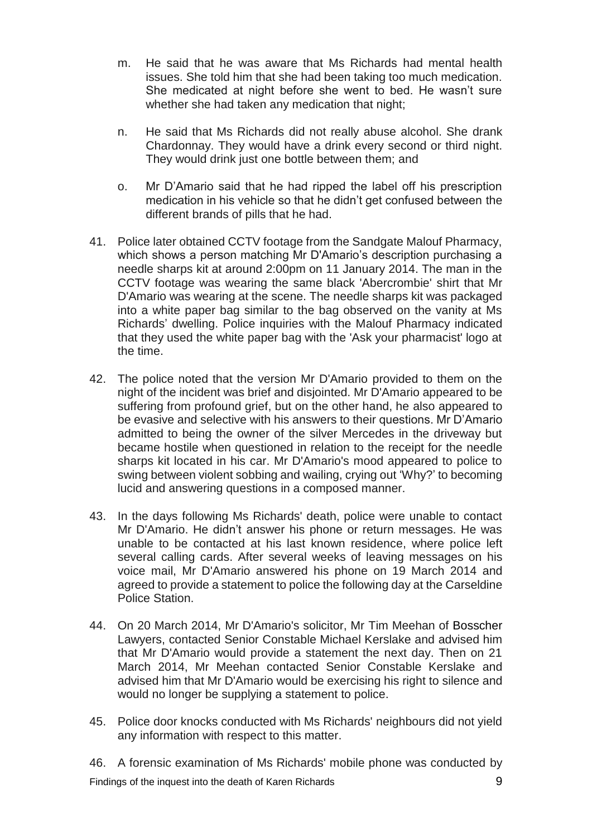- m. He said that he was aware that Ms Richards had mental health issues. She told him that she had been taking too much medication. She medicated at night before she went to bed. He wasn't sure whether she had taken any medication that night;
- n. He said that Ms Richards did not really abuse alcohol. She drank Chardonnay. They would have a drink every second or third night. They would drink just one bottle between them; and
- o. Mr D'Amario said that he had ripped the label off his prescription medication in his vehicle so that he didn't get confused between the different brands of pills that he had.
- 41. Police later obtained CCTV footage from the Sandgate Malouf Pharmacy, which shows a person matching Mr D'Amario's description purchasing a needle sharps kit at around 2:00pm on 11 January 2014. The man in the CCTV footage was wearing the same black 'Abercrombie' shirt that Mr D'Amario was wearing at the scene. The needle sharps kit was packaged into a white paper bag similar to the bag observed on the vanity at Ms Richards' dwelling. Police inquiries with the Malouf Pharmacy indicated that they used the white paper bag with the 'Ask your pharmacist' logo at the time.
- 42. The police noted that the version Mr D'Amario provided to them on the night of the incident was brief and disjointed. Mr D'Amario appeared to be suffering from profound grief, but on the other hand, he also appeared to be evasive and selective with his answers to their questions. Mr D'Amario admitted to being the owner of the silver Mercedes in the driveway but became hostile when questioned in relation to the receipt for the needle sharps kit located in his car. Mr D'Amario's mood appeared to police to swing between violent sobbing and wailing, crying out 'Why?' to becoming lucid and answering questions in a composed manner.
- 43. In the days following Ms Richards' death, police were unable to contact Mr D'Amario. He didn't answer his phone or return messages. He was unable to be contacted at his last known residence, where police left several calling cards. After several weeks of leaving messages on his voice mail, Mr D'Amario answered his phone on 19 March 2014 and agreed to provide a statement to police the following day at the Carseldine Police Station.
- 44. On 20 March 2014, Mr D'Amario's solicitor, Mr Tim Meehan of Bosscher Lawyers, contacted Senior Constable Michael Kerslake and advised him that Mr D'Amario would provide a statement the next day. Then on 21 March 2014, Mr Meehan contacted Senior Constable Kerslake and advised him that Mr D'Amario would be exercising his right to silence and would no longer be supplying a statement to police.
- 45. Police door knocks conducted with Ms Richards' neighbours did not yield any information with respect to this matter.

Findings of the inquest into the death of Karen Richards 9 46. A forensic examination of Ms Richards' mobile phone was conducted by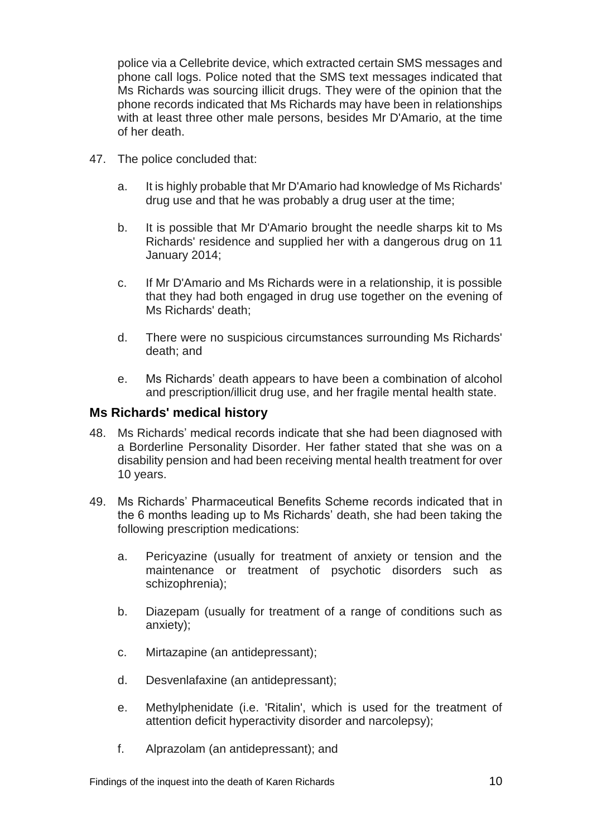police via a Cellebrite device, which extracted certain SMS messages and phone call logs. Police noted that the SMS text messages indicated that Ms Richards was sourcing illicit drugs. They were of the opinion that the phone records indicated that Ms Richards may have been in relationships with at least three other male persons, besides Mr D'Amario, at the time of her death.

- 47. The police concluded that:
	- a. It is highly probable that Mr D'Amario had knowledge of Ms Richards' drug use and that he was probably a drug user at the time;
	- b. It is possible that Mr D'Amario brought the needle sharps kit to Ms Richards' residence and supplied her with a dangerous drug on 11 January 2014;
	- c. If Mr D'Amario and Ms Richards were in a relationship, it is possible that they had both engaged in drug use together on the evening of Ms Richards' death;
	- d. There were no suspicious circumstances surrounding Ms Richards' death; and
	- e. Ms Richards' death appears to have been a combination of alcohol and prescription/illicit drug use, and her fragile mental health state.

## <span id="page-11-0"></span>**Ms Richards' medical history**

- 48. Ms Richards' medical records indicate that she had been diagnosed with a Borderline Personality Disorder. Her father stated that she was on a disability pension and had been receiving mental health treatment for over 10 years.
- 49. Ms Richards' Pharmaceutical Benefits Scheme records indicated that in the 6 months leading up to Ms Richards' death, she had been taking the following prescription medications:
	- a. Pericyazine (usually for treatment of anxiety or tension and the maintenance or treatment of psychotic disorders such as schizophrenia);
	- b. Diazepam (usually for treatment of a range of conditions such as anxiety);
	- c. Mirtazapine (an antidepressant);
	- d. Desvenlafaxine (an antidepressant);
	- e. Methylphenidate (i.e. 'Ritalin', which is used for the treatment of attention deficit hyperactivity disorder and narcolepsy);
	- f. Alprazolam (an antidepressant); and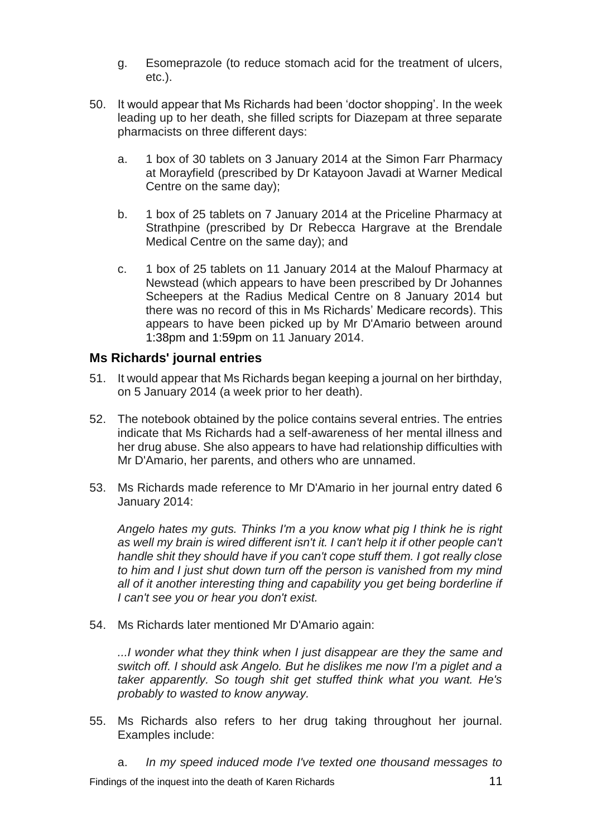- g. Esomeprazole (to reduce stomach acid for the treatment of ulcers, etc.).
- 50. It would appear that Ms Richards had been 'doctor shopping'. In the week leading up to her death, she filled scripts for Diazepam at three separate pharmacists on three different days:
	- a. 1 box of 30 tablets on 3 January 2014 at the Simon Farr Pharmacy at Morayfield (prescribed by Dr Katayoon Javadi at Warner Medical Centre on the same day);
	- b. 1 box of 25 tablets on 7 January 2014 at the Priceline Pharmacy at Strathpine (prescribed by Dr Rebecca Hargrave at the Brendale Medical Centre on the same day); and
	- c. 1 box of 25 tablets on 11 January 2014 at the Malouf Pharmacy at Newstead (which appears to have been prescribed by Dr Johannes Scheepers at the Radius Medical Centre on 8 January 2014 but there was no record of this in Ms Richards' Medicare records). This appears to have been picked up by Mr D'Amario between around 1:38pm and 1:59pm on 11 January 2014.

## <span id="page-12-0"></span>**Ms Richards' journal entries**

- 51. It would appear that Ms Richards began keeping a journal on her birthday, on 5 January 2014 (a week prior to her death).
- 52. The notebook obtained by the police contains several entries. The entries indicate that Ms Richards had a self-awareness of her mental illness and her drug abuse. She also appears to have had relationship difficulties with Mr D'Amario, her parents, and others who are unnamed.
- 53. Ms Richards made reference to Mr D'Amario in her journal entry dated 6 January 2014:

*Angelo hates my guts. Thinks I'm a you know what pig I think he is right as well my brain is wired different isn't it. I can't help it if other people can't handle shit they should have if you can't cope stuff them. I got really close to him and I just shut down turn off the person is vanished from my mind all of it another interesting thing and capability you get being borderline if I can't see you or hear you don't exist.*

54. Ms Richards later mentioned Mr D'Amario again:

*...I wonder what they think when I just disappear are they the same and switch off. I should ask Angelo. But he dislikes me now I'm a piglet and a taker apparently. So tough shit get stuffed think what you want. He's probably to wasted to know anyway.*

- 55. Ms Richards also refers to her drug taking throughout her journal. Examples include:
	- a. *In my speed induced mode I've texted one thousand messages to*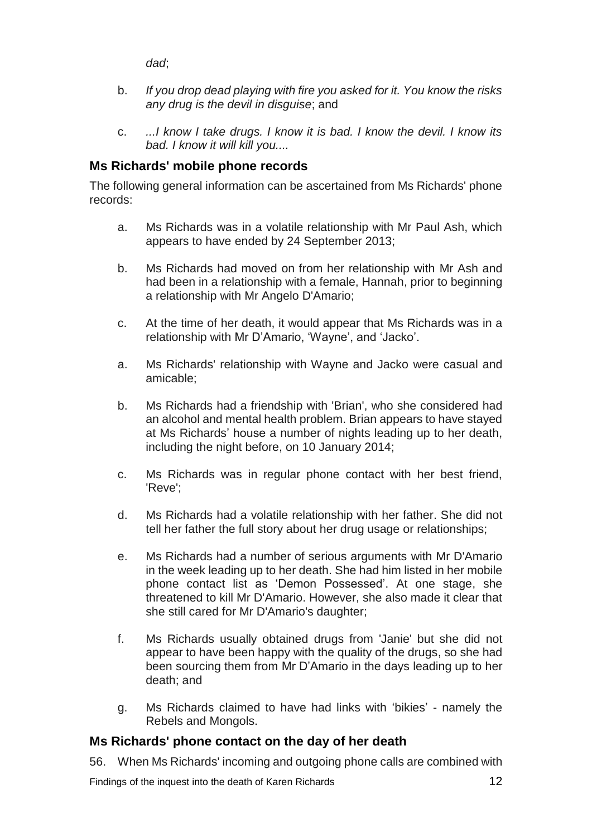*dad*;

- b. *If you drop dead playing with fire you asked for it. You know the risks any drug is the devil in disguise*; and
- c. *...I know I take drugs. I know it is bad. I know the devil. I know its bad. I know it will kill you....*

## <span id="page-13-0"></span>**Ms Richards' mobile phone records**

The following general information can be ascertained from Ms Richards' phone records:

- a. Ms Richards was in a volatile relationship with Mr Paul Ash, which appears to have ended by 24 September 2013;
- b. Ms Richards had moved on from her relationship with Mr Ash and had been in a relationship with a female, Hannah, prior to beginning a relationship with Mr Angelo D'Amario;
- c. At the time of her death, it would appear that Ms Richards was in a relationship with Mr D'Amario, 'Wayne', and 'Jacko'.
- a. Ms Richards' relationship with Wayne and Jacko were casual and amicable;
- b. Ms Richards had a friendship with 'Brian', who she considered had an alcohol and mental health problem. Brian appears to have stayed at Ms Richards' house a number of nights leading up to her death, including the night before, on 10 January 2014;
- c. Ms Richards was in regular phone contact with her best friend, 'Reve';
- d. Ms Richards had a volatile relationship with her father. She did not tell her father the full story about her drug usage or relationships;
- e. Ms Richards had a number of serious arguments with Mr D'Amario in the week leading up to her death. She had him listed in her mobile phone contact list as 'Demon Possessed'. At one stage, she threatened to kill Mr D'Amario. However, she also made it clear that she still cared for Mr D'Amario's daughter;
- f. Ms Richards usually obtained drugs from 'Janie' but she did not appear to have been happy with the quality of the drugs, so she had been sourcing them from Mr D'Amario in the days leading up to her death; and
- g. Ms Richards claimed to have had links with 'bikies' namely the Rebels and Mongols.

## <span id="page-13-1"></span>**Ms Richards' phone contact on the day of her death**

56. When Ms Richards' incoming and outgoing phone calls are combined with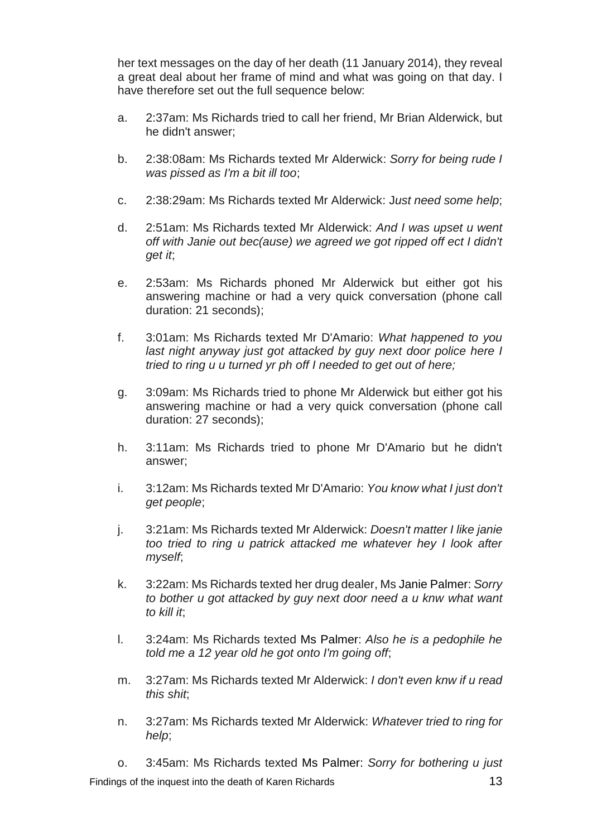her text messages on the day of her death (11 January 2014), they reveal a great deal about her frame of mind and what was going on that day. I have therefore set out the full sequence below:

- a. 2:37am: Ms Richards tried to call her friend, Mr Brian Alderwick, but he didn't answer;
- b. 2:38:08am: Ms Richards texted Mr Alderwick: *Sorry for being rude I was pissed as I'm a bit ill too*;
- c. 2:38:29am: Ms Richards texted Mr Alderwick: J*ust need some help*;
- d. 2:51am: Ms Richards texted Mr Alderwick: *And I was upset u went off with Janie out bec(ause) we agreed we got ripped off ect I didn't get it*;
- e. 2:53am: Ms Richards phoned Mr Alderwick but either got his answering machine or had a very quick conversation (phone call duration: 21 seconds);
- f. 3:01am: Ms Richards texted Mr D'Amario: *What happened to you*  last night anyway just got attacked by guy next door police here I *tried to ring u u turned yr ph off I needed to get out of here;*
- g. 3:09am: Ms Richards tried to phone Mr Alderwick but either got his answering machine or had a very quick conversation (phone call duration: 27 seconds);
- h. 3:11am: Ms Richards tried to phone Mr D'Amario but he didn't answer;
- i. 3:12am: Ms Richards texted Mr D'Amario: *You know what I just don't get people*;
- j. 3:21am: Ms Richards texted Mr Alderwick: *Doesn't matter I like janie too tried to ring u patrick attacked me whatever hey I look after myself*;
- k. 3:22am: Ms Richards texted her drug dealer, Ms Janie Palmer: *Sorry to bother u got attacked by guy next door need a u knw what want to kill it*;
- l. 3:24am: Ms Richards texted Ms Palmer: *Also he is a pedophile he told me a 12 year old he got onto I'm going off*;
- m. 3:27am: Ms Richards texted Mr Alderwick: *I don't even knw if u read this shit*;
- n. 3:27am: Ms Richards texted Mr Alderwick: *Whatever tried to ring for help*;

Findings of the inquest into the death of Karen Richards **13** and the state 13 o. 3:45am: Ms Richards texted Ms Palmer: *Sorry for bothering u just*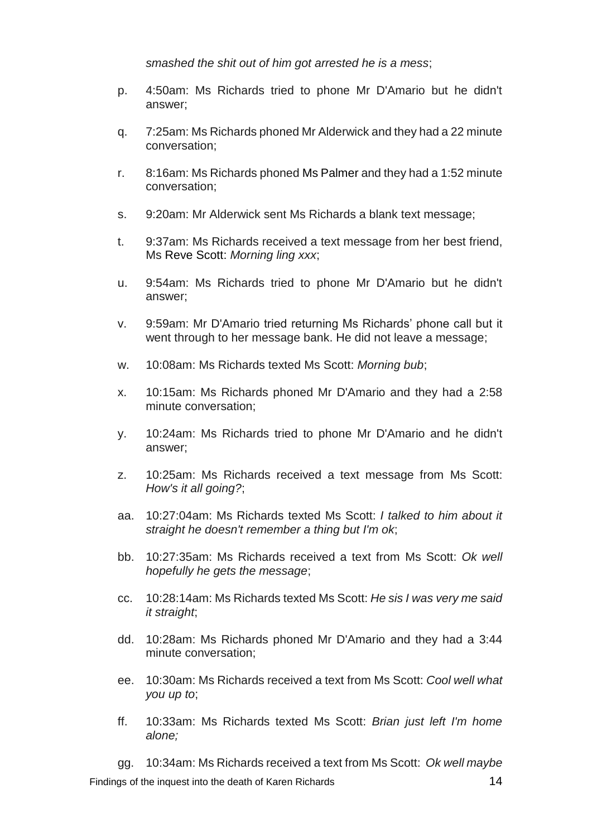*smashed the shit out of him got arrested he is a mess*;

- p. 4:50am: Ms Richards tried to phone Mr D'Amario but he didn't answer;
- q. 7:25am: Ms Richards phoned Mr Alderwick and they had a 22 minute conversation;
- r. 8:16am: Ms Richards phoned Ms Palmer and they had a 1:52 minute conversation;
- s. 9:20am: Mr Alderwick sent Ms Richards a blank text message;
- t. 9:37am: Ms Richards received a text message from her best friend, Ms Reve Scott: *Morning ling xxx*;
- u. 9:54am: Ms Richards tried to phone Mr D'Amario but he didn't answer;
- v. 9:59am: Mr D'Amario tried returning Ms Richards' phone call but it went through to her message bank. He did not leave a message;
- w. 10:08am: Ms Richards texted Ms Scott: *Morning bub*;
- x. 10:15am: Ms Richards phoned Mr D'Amario and they had a 2:58 minute conversation;
- y. 10:24am: Ms Richards tried to phone Mr D'Amario and he didn't answer;
- z. 10:25am: Ms Richards received a text message from Ms Scott: *How's it all going?*;
- aa. 10:27:04am: Ms Richards texted Ms Scott: *I talked to him about it straight he doesn't remember a thing but I'm ok*;
- bb. 10:27:35am: Ms Richards received a text from Ms Scott: *Ok well hopefully he gets the message*;
- cc. 10:28:14am: Ms Richards texted Ms Scott: *He sis I was very me said it straight*;
- dd. 10:28am: Ms Richards phoned Mr D'Amario and they had a 3:44 minute conversation;
- ee. 10:30am: Ms Richards received a text from Ms Scott: *Cool well what you up to*;
- ff. 10:33am: Ms Richards texted Ms Scott: *Brian just left I'm home alone;*

Findings of the inquest into the death of Karen Richards 14 gg. 10:34am: Ms Richards received a text from Ms Scott: *Ok well maybe*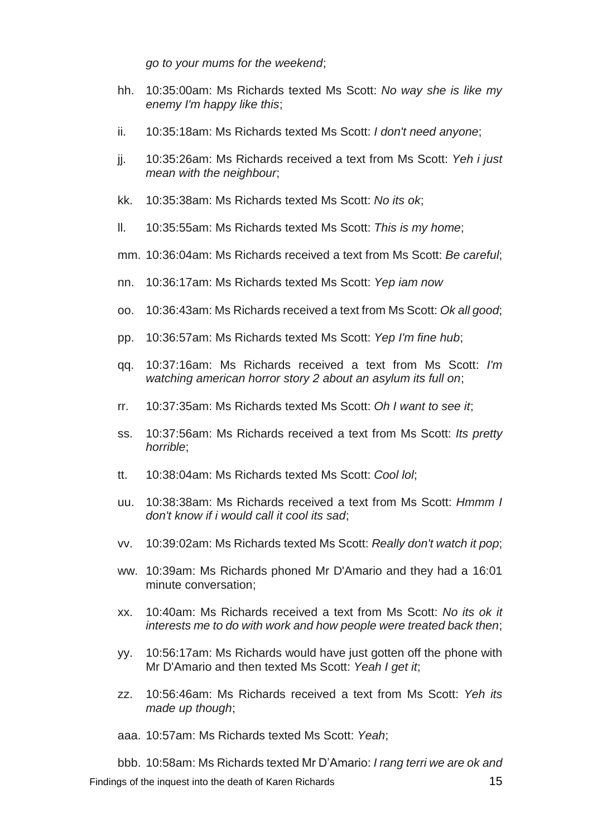*go to your mums for the weekend*;

- hh. 10:35:00am: Ms Richards texted Ms Scott: *No way she is like my enemy I'm happy like this*;
- ii. 10:35:18am: Ms Richards texted Ms Scott: *I don't need anyone*;
- jj. 10:35:26am: Ms Richards received a text from Ms Scott: *Yeh i just mean with the neighbour*;
- kk. 10:35:38am: Ms Richards texted Ms Scott: *No its ok*;
- ll. 10:35:55am: Ms Richards texted Ms Scott: *This is my home*;
- mm. 10:36:04am: Ms Richards received a text from Ms Scott: *Be careful*;
- nn. 10:36:17am: Ms Richards texted Ms Scott: *Yep iam now*
- oo. 10:36:43am: Ms Richards received a text from Ms Scott: *Ok all good*;
- pp. 10:36:57am: Ms Richards texted Ms Scott: *Yep I'm fine hub*;
- qq. 10:37:16am: Ms Richards received a text from Ms Scott: *I'm watching american horror story 2 about an asylum its full on*;
- rr. 10:37:35am: Ms Richards texted Ms Scott: *Oh I want to see it*;
- ss. 10:37:56am: Ms Richards received a text from Ms Scott: *Its pretty horrible*;
- tt. 10:38:04am: Ms Richards texted Ms Scott: *Cool lol*;
- uu. 10:38:38am: Ms Richards received a text from Ms Scott: *Hmmm I don't know if i would call it cool its sad*;
- vv. 10:39:02am: Ms Richards texted Ms Scott: *Really don't watch it pop*;
- ww. 10:39am: Ms Richards phoned Mr D'Amario and they had a 16:01 minute conversation;
- xx. 10:40am: Ms Richards received a text from Ms Scott: *No its ok it interests me to do with work and how people were treated back then*;
- yy. 10:56:17am: Ms Richards would have just gotten off the phone with Mr D'Amario and then texted Ms Scott: *Yeah I get it*;
- zz. 10:56:46am: Ms Richards received a text from Ms Scott: *Yeh its made up though*;
- aaa. 10:57am: Ms Richards texted Ms Scott: *Yeah*;

Findings of the inquest into the death of Karen Richards 15 bbb. 10:58am: Ms Richards texted Mr D'Amario: *I rang terri we are ok and*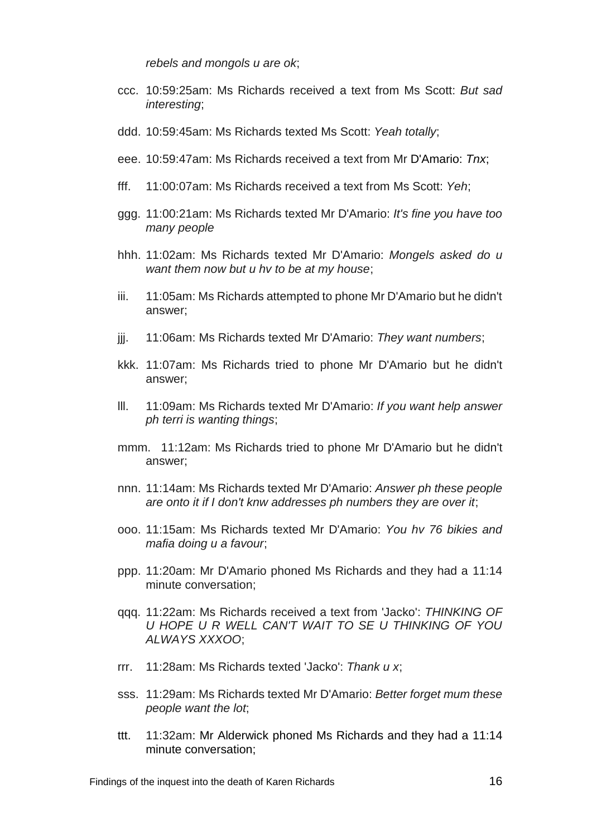*rebels and mongols u are ok*;

- ccc. 10:59:25am: Ms Richards received a text from Ms Scott: *But sad interesting*;
- ddd. 10:59:45am: Ms Richards texted Ms Scott: *Yeah totally*;
- eee. 10:59:47am: Ms Richards received a text from Mr D'Amario: *Tnx*;
- fff. 11:00:07am: Ms Richards received a text from Ms Scott: *Yeh*;
- ggg. 11:00:21am: Ms Richards texted Mr D'Amario: *It's fine you have too many people*
- hhh. 11:02am: Ms Richards texted Mr D'Amario: *Mongels asked do u want them now but u hv to be at my house*;
- iii. 11:05am: Ms Richards attempted to phone Mr D'Amario but he didn't answer;
- jjj. 11:06am: Ms Richards texted Mr D'Amario: *They want numbers*;
- kkk. 11:07am: Ms Richards tried to phone Mr D'Amario but he didn't answer;
- lll. 11:09am: Ms Richards texted Mr D'Amario: *If you want help answer ph terri is wanting things*;
- mmm. 11:12am: Ms Richards tried to phone Mr D'Amario but he didn't answer;
- nnn. 11:14am: Ms Richards texted Mr D'Amario: *Answer ph these people are onto it if I don't knw addresses ph numbers they are over it*;
- ooo. 11:15am: Ms Richards texted Mr D'Amario: *You hv 76 bikies and mafia doing u a favour*;
- ppp. 11:20am: Mr D'Amario phoned Ms Richards and they had a 11:14 minute conversation;
- qqq. 11:22am: Ms Richards received a text from 'Jacko': *THINKING OF U HOPE U R WELL CAN'T WAIT TO SE U THINKING OF YOU ALWAYS XXXOO*;
- rrr. 11:28am: Ms Richards texted 'Jacko': *Thank u x*;
- sss. 11:29am: Ms Richards texted Mr D'Amario: *Better forget mum these people want the lot*;
- ttt. 11:32am: Mr Alderwick phoned Ms Richards and they had a 11:14 minute conversation;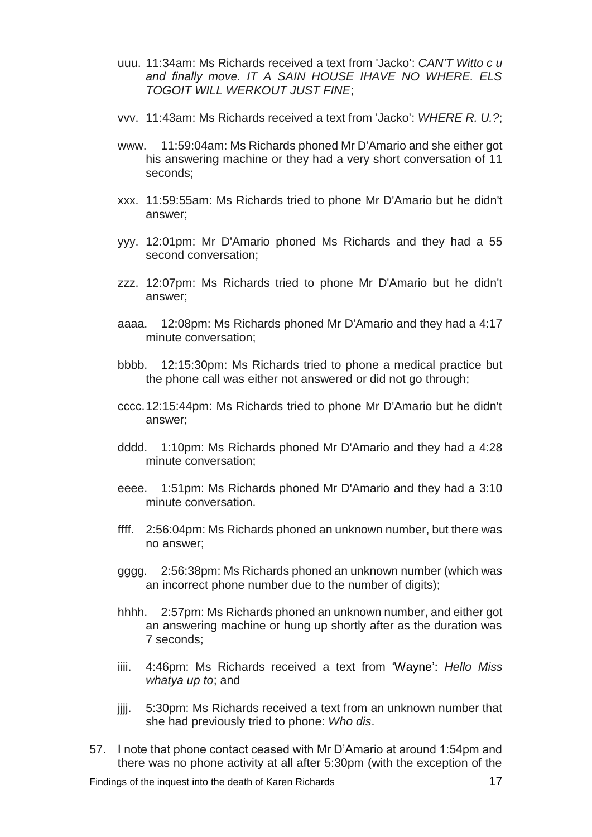- uuu. 11:34am: Ms Richards received a text from 'Jacko': *CAN'T Witto c u and finally move. IT A SAIN HOUSE IHAVE NO WHERE. ELS TOGOIT WILL WERKOUT JUST FINE*;
- vvv. 11:43am: Ms Richards received a text from 'Jacko': *WHERE R. U.?*;
- www. 11:59:04am: Ms Richards phoned Mr D'Amario and she either got his answering machine or they had a very short conversation of 11 seconds;
- xxx. 11:59:55am: Ms Richards tried to phone Mr D'Amario but he didn't answer;
- yyy. 12:01pm: Mr D'Amario phoned Ms Richards and they had a 55 second conversation;
- zzz. 12:07pm: Ms Richards tried to phone Mr D'Amario but he didn't answer;
- aaaa. 12:08pm: Ms Richards phoned Mr D'Amario and they had a 4:17 minute conversation;
- bbbb. 12:15:30pm: Ms Richards tried to phone a medical practice but the phone call was either not answered or did not go through;
- cccc.12:15:44pm: Ms Richards tried to phone Mr D'Amario but he didn't answer;
- dddd. 1:10pm: Ms Richards phoned Mr D'Amario and they had a 4:28 minute conversation;
- eeee. 1:51pm: Ms Richards phoned Mr D'Amario and they had a 3:10 minute conversation.
- ffff. 2:56:04pm: Ms Richards phoned an unknown number, but there was no answer;
- gggg. 2:56:38pm: Ms Richards phoned an unknown number (which was an incorrect phone number due to the number of digits);
- hhhh. 2:57pm: Ms Richards phoned an unknown number, and either got an answering machine or hung up shortly after as the duration was 7 seconds;
- iiii. 4:46pm: Ms Richards received a text from 'Wayne': *Hello Miss whatya up to*; and
- jjjj. 5:30pm: Ms Richards received a text from an unknown number that she had previously tried to phone: *Who dis*.
- 57. I note that phone contact ceased with Mr D'Amario at around 1:54pm and there was no phone activity at all after 5:30pm (with the exception of the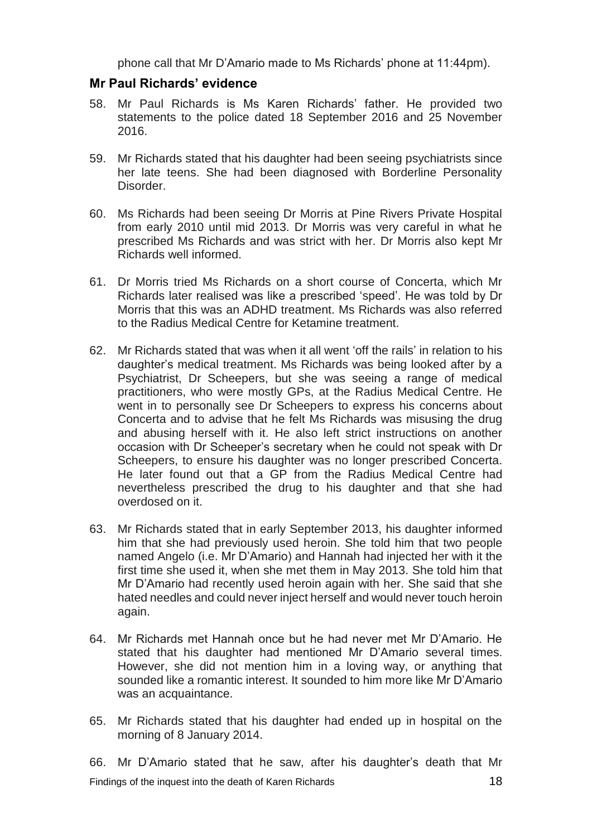phone call that Mr D'Amario made to Ms Richards' phone at 11:44pm).

### <span id="page-19-0"></span>**Mr Paul Richards' evidence**

- 58. Mr Paul Richards is Ms Karen Richards' father. He provided two statements to the police dated 18 September 2016 and 25 November 2016.
- 59. Mr Richards stated that his daughter had been seeing psychiatrists since her late teens. She had been diagnosed with Borderline Personality Disorder.
- 60. Ms Richards had been seeing Dr Morris at Pine Rivers Private Hospital from early 2010 until mid 2013. Dr Morris was very careful in what he prescribed Ms Richards and was strict with her. Dr Morris also kept Mr Richards well informed.
- 61. Dr Morris tried Ms Richards on a short course of Concerta, which Mr Richards later realised was like a prescribed 'speed'. He was told by Dr Morris that this was an ADHD treatment. Ms Richards was also referred to the Radius Medical Centre for Ketamine treatment.
- 62. Mr Richards stated that was when it all went 'off the rails' in relation to his daughter's medical treatment. Ms Richards was being looked after by a Psychiatrist, Dr Scheepers, but she was seeing a range of medical practitioners, who were mostly GPs, at the Radius Medical Centre. He went in to personally see Dr Scheepers to express his concerns about Concerta and to advise that he felt Ms Richards was misusing the drug and abusing herself with it. He also left strict instructions on another occasion with Dr Scheeper's secretary when he could not speak with Dr Scheepers, to ensure his daughter was no longer prescribed Concerta. He later found out that a GP from the Radius Medical Centre had nevertheless prescribed the drug to his daughter and that she had overdosed on it.
- 63. Mr Richards stated that in early September 2013, his daughter informed him that she had previously used heroin. She told him that two people named Angelo (i.e. Mr D'Amario) and Hannah had injected her with it the first time she used it, when she met them in May 2013. She told him that Mr D'Amario had recently used heroin again with her. She said that she hated needles and could never inject herself and would never touch heroin again.
- 64. Mr Richards met Hannah once but he had never met Mr D'Amario. He stated that his daughter had mentioned Mr D'Amario several times. However, she did not mention him in a loving way, or anything that sounded like a romantic interest. It sounded to him more like Mr D'Amario was an acquaintance.
- 65. Mr Richards stated that his daughter had ended up in hospital on the morning of 8 January 2014.

Findings of the inquest into the death of Karen Richards 18 66. Mr D'Amario stated that he saw, after his daughter's death that Mr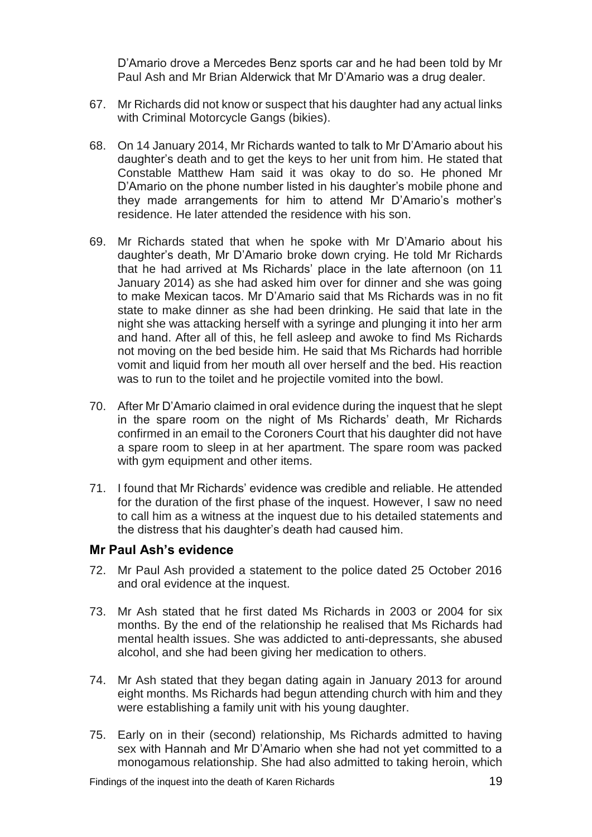D'Amario drove a Mercedes Benz sports car and he had been told by Mr Paul Ash and Mr Brian Alderwick that Mr D'Amario was a drug dealer.

- 67. Mr Richards did not know or suspect that his daughter had any actual links with Criminal Motorcycle Gangs (bikies).
- 68. On 14 January 2014, Mr Richards wanted to talk to Mr D'Amario about his daughter's death and to get the keys to her unit from him. He stated that Constable Matthew Ham said it was okay to do so. He phoned Mr D'Amario on the phone number listed in his daughter's mobile phone and they made arrangements for him to attend Mr D'Amario's mother's residence. He later attended the residence with his son.
- 69. Mr Richards stated that when he spoke with Mr D'Amario about his daughter's death, Mr D'Amario broke down crying. He told Mr Richards that he had arrived at Ms Richards' place in the late afternoon (on 11 January 2014) as she had asked him over for dinner and she was going to make Mexican tacos. Mr D'Amario said that Ms Richards was in no fit state to make dinner as she had been drinking. He said that late in the night she was attacking herself with a syringe and plunging it into her arm and hand. After all of this, he fell asleep and awoke to find Ms Richards not moving on the bed beside him. He said that Ms Richards had horrible vomit and liquid from her mouth all over herself and the bed. His reaction was to run to the toilet and he projectile vomited into the bowl.
- 70. After Mr D'Amario claimed in oral evidence during the inquest that he slept in the spare room on the night of Ms Richards' death, Mr Richards confirmed in an email to the Coroners Court that his daughter did not have a spare room to sleep in at her apartment. The spare room was packed with gym equipment and other items.
- 71. I found that Mr Richards' evidence was credible and reliable. He attended for the duration of the first phase of the inquest. However, I saw no need to call him as a witness at the inquest due to his detailed statements and the distress that his daughter's death had caused him.

#### <span id="page-20-0"></span>**Mr Paul Ash's evidence**

- 72. Mr Paul Ash provided a statement to the police dated 25 October 2016 and oral evidence at the inquest.
- 73. Mr Ash stated that he first dated Ms Richards in 2003 or 2004 for six months. By the end of the relationship he realised that Ms Richards had mental health issues. She was addicted to anti-depressants, she abused alcohol, and she had been giving her medication to others.
- 74. Mr Ash stated that they began dating again in January 2013 for around eight months. Ms Richards had begun attending church with him and they were establishing a family unit with his young daughter.
- 75. Early on in their (second) relationship, Ms Richards admitted to having sex with Hannah and Mr D'Amario when she had not yet committed to a monogamous relationship. She had also admitted to taking heroin, which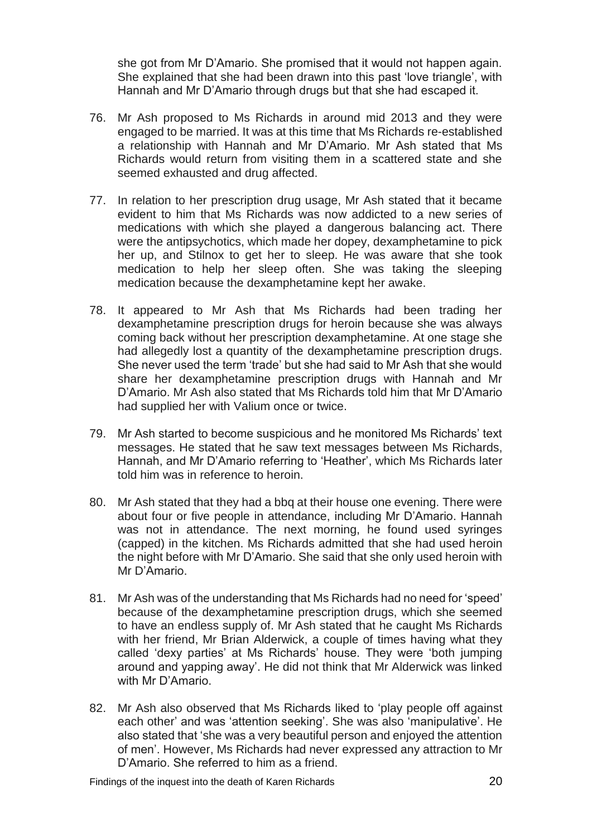she got from Mr D'Amario. She promised that it would not happen again. She explained that she had been drawn into this past 'love triangle', with Hannah and Mr D'Amario through drugs but that she had escaped it.

- 76. Mr Ash proposed to Ms Richards in around mid 2013 and they were engaged to be married. It was at this time that Ms Richards re-established a relationship with Hannah and Mr D'Amario. Mr Ash stated that Ms Richards would return from visiting them in a scattered state and she seemed exhausted and drug affected.
- 77. In relation to her prescription drug usage, Mr Ash stated that it became evident to him that Ms Richards was now addicted to a new series of medications with which she played a dangerous balancing act. There were the antipsychotics, which made her dopey, dexamphetamine to pick her up, and Stilnox to get her to sleep. He was aware that she took medication to help her sleep often. She was taking the sleeping medication because the dexamphetamine kept her awake.
- 78. It appeared to Mr Ash that Ms Richards had been trading her dexamphetamine prescription drugs for heroin because she was always coming back without her prescription dexamphetamine. At one stage she had allegedly lost a quantity of the dexamphetamine prescription drugs. She never used the term 'trade' but she had said to Mr Ash that she would share her dexamphetamine prescription drugs with Hannah and Mr D'Amario. Mr Ash also stated that Ms Richards told him that Mr D'Amario had supplied her with Valium once or twice.
- 79. Mr Ash started to become suspicious and he monitored Ms Richards' text messages. He stated that he saw text messages between Ms Richards, Hannah, and Mr D'Amario referring to 'Heather', which Ms Richards later told him was in reference to heroin.
- 80. Mr Ash stated that they had a bbq at their house one evening. There were about four or five people in attendance, including Mr D'Amario. Hannah was not in attendance. The next morning, he found used syringes (capped) in the kitchen. Ms Richards admitted that she had used heroin the night before with Mr D'Amario. She said that she only used heroin with Mr D'Amario.
- 81. Mr Ash was of the understanding that Ms Richards had no need for 'speed' because of the dexamphetamine prescription drugs, which she seemed to have an endless supply of. Mr Ash stated that he caught Ms Richards with her friend, Mr Brian Alderwick, a couple of times having what they called 'dexy parties' at Ms Richards' house. They were 'both jumping around and yapping away'. He did not think that Mr Alderwick was linked with Mr D'Amario.
- 82. Mr Ash also observed that Ms Richards liked to 'play people off against each other' and was 'attention seeking'. She was also 'manipulative'. He also stated that 'she was a very beautiful person and enjoyed the attention of men'. However, Ms Richards had never expressed any attraction to Mr D'Amario. She referred to him as a friend.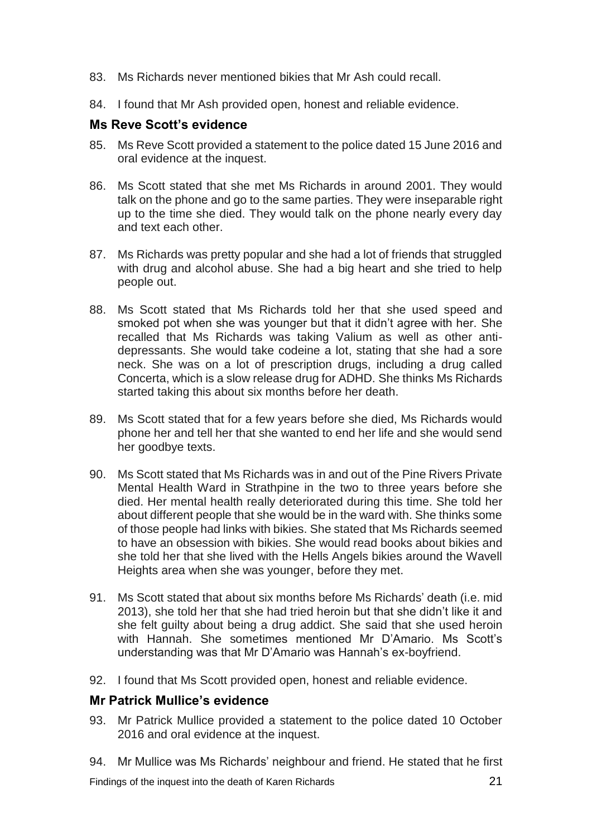- 83. Ms Richards never mentioned bikies that Mr Ash could recall.
- 84. I found that Mr Ash provided open, honest and reliable evidence.

#### <span id="page-22-0"></span>**Ms Reve Scott's evidence**

- 85. Ms Reve Scott provided a statement to the police dated 15 June 2016 and oral evidence at the inquest.
- 86. Ms Scott stated that she met Ms Richards in around 2001. They would talk on the phone and go to the same parties. They were inseparable right up to the time she died. They would talk on the phone nearly every day and text each other.
- 87. Ms Richards was pretty popular and she had a lot of friends that struggled with drug and alcohol abuse. She had a big heart and she tried to help people out.
- 88. Ms Scott stated that Ms Richards told her that she used speed and smoked pot when she was younger but that it didn't agree with her. She recalled that Ms Richards was taking Valium as well as other antidepressants. She would take codeine a lot, stating that she had a sore neck. She was on a lot of prescription drugs, including a drug called Concerta, which is a slow release drug for ADHD. She thinks Ms Richards started taking this about six months before her death.
- 89. Ms Scott stated that for a few years before she died, Ms Richards would phone her and tell her that she wanted to end her life and she would send her goodbye texts.
- 90. Ms Scott stated that Ms Richards was in and out of the Pine Rivers Private Mental Health Ward in Strathpine in the two to three years before she died. Her mental health really deteriorated during this time. She told her about different people that she would be in the ward with. She thinks some of those people had links with bikies. She stated that Ms Richards seemed to have an obsession with bikies. She would read books about bikies and she told her that she lived with the Hells Angels bikies around the Wavell Heights area when she was younger, before they met.
- 91. Ms Scott stated that about six months before Ms Richards' death (i.e. mid 2013), she told her that she had tried heroin but that she didn't like it and she felt guilty about being a drug addict. She said that she used heroin with Hannah. She sometimes mentioned Mr D'Amario. Ms Scott's understanding was that Mr D'Amario was Hannah's ex-boyfriend.
- 92. I found that Ms Scott provided open, honest and reliable evidence.

#### <span id="page-22-1"></span>**Mr Patrick Mullice's evidence**

- 93. Mr Patrick Mullice provided a statement to the police dated 10 October 2016 and oral evidence at the inquest.
- 94. Mr Mullice was Ms Richards' neighbour and friend. He stated that he first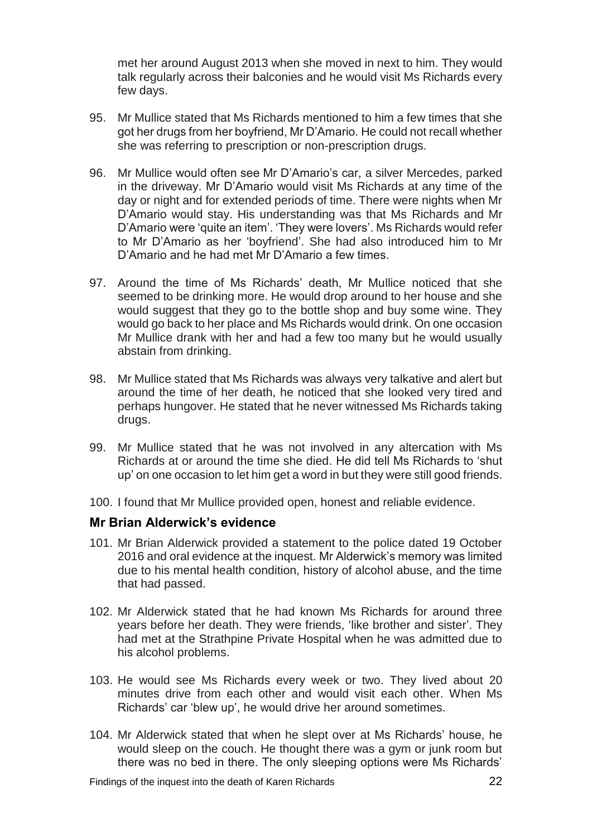met her around August 2013 when she moved in next to him. They would talk regularly across their balconies and he would visit Ms Richards every few days.

- 95. Mr Mullice stated that Ms Richards mentioned to him a few times that she got her drugs from her boyfriend, Mr D'Amario. He could not recall whether she was referring to prescription or non-prescription drugs.
- 96. Mr Mullice would often see Mr D'Amario's car, a silver Mercedes, parked in the driveway. Mr D'Amario would visit Ms Richards at any time of the day or night and for extended periods of time. There were nights when Mr D'Amario would stay. His understanding was that Ms Richards and Mr D'Amario were 'quite an item'. 'They were lovers'. Ms Richards would refer to Mr D'Amario as her 'boyfriend'. She had also introduced him to Mr D'Amario and he had met Mr D'Amario a few times.
- 97. Around the time of Ms Richards' death, Mr Mullice noticed that she seemed to be drinking more. He would drop around to her house and she would suggest that they go to the bottle shop and buy some wine. They would go back to her place and Ms Richards would drink. On one occasion Mr Mullice drank with her and had a few too many but he would usually abstain from drinking.
- 98. Mr Mullice stated that Ms Richards was always very talkative and alert but around the time of her death, he noticed that she looked very tired and perhaps hungover. He stated that he never witnessed Ms Richards taking drugs.
- 99. Mr Mullice stated that he was not involved in any altercation with Ms Richards at or around the time she died. He did tell Ms Richards to 'shut up' on one occasion to let him get a word in but they were still good friends.
- 100. I found that Mr Mullice provided open, honest and reliable evidence.

#### <span id="page-23-0"></span>**Mr Brian Alderwick's evidence**

- 101. Mr Brian Alderwick provided a statement to the police dated 19 October 2016 and oral evidence at the inquest. Mr Alderwick's memory was limited due to his mental health condition, history of alcohol abuse, and the time that had passed.
- 102. Mr Alderwick stated that he had known Ms Richards for around three years before her death. They were friends, 'like brother and sister'. They had met at the Strathpine Private Hospital when he was admitted due to his alcohol problems.
- 103. He would see Ms Richards every week or two. They lived about 20 minutes drive from each other and would visit each other. When Ms Richards' car 'blew up', he would drive her around sometimes.
- 104. Mr Alderwick stated that when he slept over at Ms Richards' house, he would sleep on the couch. He thought there was a gym or junk room but there was no bed in there. The only sleeping options were Ms Richards'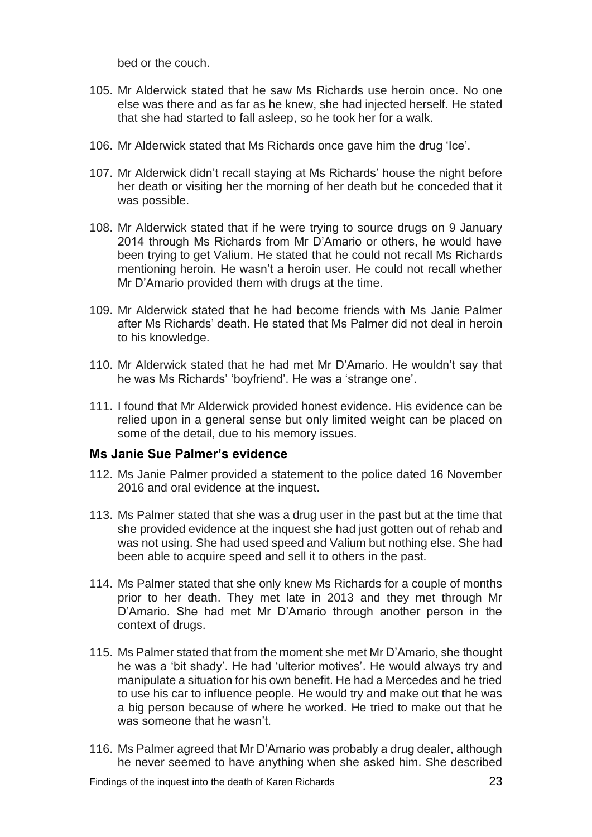bed or the couch.

- 105. Mr Alderwick stated that he saw Ms Richards use heroin once. No one else was there and as far as he knew, she had injected herself. He stated that she had started to fall asleep, so he took her for a walk.
- 106. Mr Alderwick stated that Ms Richards once gave him the drug 'Ice'.
- 107. Mr Alderwick didn't recall staying at Ms Richards' house the night before her death or visiting her the morning of her death but he conceded that it was possible.
- 108. Mr Alderwick stated that if he were trying to source drugs on 9 January 2014 through Ms Richards from Mr D'Amario or others, he would have been trying to get Valium. He stated that he could not recall Ms Richards mentioning heroin. He wasn't a heroin user. He could not recall whether Mr D'Amario provided them with drugs at the time.
- 109. Mr Alderwick stated that he had become friends with Ms Janie Palmer after Ms Richards' death. He stated that Ms Palmer did not deal in heroin to his knowledge.
- 110. Mr Alderwick stated that he had met Mr D'Amario. He wouldn't say that he was Ms Richards' 'boyfriend'. He was a 'strange one'.
- 111. I found that Mr Alderwick provided honest evidence. His evidence can be relied upon in a general sense but only limited weight can be placed on some of the detail, due to his memory issues.

#### <span id="page-24-0"></span>**Ms Janie Sue Palmer's evidence**

- 112. Ms Janie Palmer provided a statement to the police dated 16 November 2016 and oral evidence at the inquest.
- 113. Ms Palmer stated that she was a drug user in the past but at the time that she provided evidence at the inquest she had just gotten out of rehab and was not using. She had used speed and Valium but nothing else. She had been able to acquire speed and sell it to others in the past.
- 114. Ms Palmer stated that she only knew Ms Richards for a couple of months prior to her death. They met late in 2013 and they met through Mr D'Amario. She had met Mr D'Amario through another person in the context of drugs.
- 115. Ms Palmer stated that from the moment she met Mr D'Amario, she thought he was a 'bit shady'. He had 'ulterior motives'. He would always try and manipulate a situation for his own benefit. He had a Mercedes and he tried to use his car to influence people. He would try and make out that he was a big person because of where he worked. He tried to make out that he was someone that he wasn't.
- 116. Ms Palmer agreed that Mr D'Amario was probably a drug dealer, although he never seemed to have anything when she asked him. She described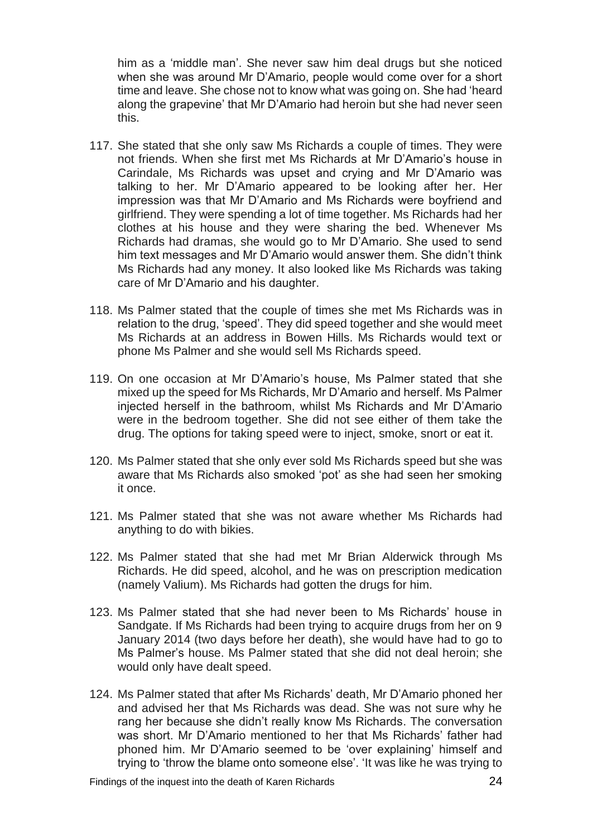him as a 'middle man'. She never saw him deal drugs but she noticed when she was around Mr D'Amario, people would come over for a short time and leave. She chose not to know what was going on. She had 'heard along the grapevine' that Mr D'Amario had heroin but she had never seen this.

- 117. She stated that she only saw Ms Richards a couple of times. They were not friends. When she first met Ms Richards at Mr D'Amario's house in Carindale, Ms Richards was upset and crying and Mr D'Amario was talking to her. Mr D'Amario appeared to be looking after her. Her impression was that Mr D'Amario and Ms Richards were boyfriend and girlfriend. They were spending a lot of time together. Ms Richards had her clothes at his house and they were sharing the bed. Whenever Ms Richards had dramas, she would go to Mr D'Amario. She used to send him text messages and Mr D'Amario would answer them. She didn't think Ms Richards had any money. It also looked like Ms Richards was taking care of Mr D'Amario and his daughter.
- 118. Ms Palmer stated that the couple of times she met Ms Richards was in relation to the drug, 'speed'. They did speed together and she would meet Ms Richards at an address in Bowen Hills. Ms Richards would text or phone Ms Palmer and she would sell Ms Richards speed.
- 119. On one occasion at Mr D'Amario's house, Ms Palmer stated that she mixed up the speed for Ms Richards, Mr D'Amario and herself. Ms Palmer injected herself in the bathroom, whilst Ms Richards and Mr D'Amario were in the bedroom together. She did not see either of them take the drug. The options for taking speed were to inject, smoke, snort or eat it.
- 120. Ms Palmer stated that she only ever sold Ms Richards speed but she was aware that Ms Richards also smoked 'pot' as she had seen her smoking it once.
- 121. Ms Palmer stated that she was not aware whether Ms Richards had anything to do with bikies.
- 122. Ms Palmer stated that she had met Mr Brian Alderwick through Ms Richards. He did speed, alcohol, and he was on prescription medication (namely Valium). Ms Richards had gotten the drugs for him.
- 123. Ms Palmer stated that she had never been to Ms Richards' house in Sandgate. If Ms Richards had been trying to acquire drugs from her on 9 January 2014 (two days before her death), she would have had to go to Ms Palmer's house. Ms Palmer stated that she did not deal heroin; she would only have dealt speed.
- 124. Ms Palmer stated that after Ms Richards' death, Mr D'Amario phoned her and advised her that Ms Richards was dead. She was not sure why he rang her because she didn't really know Ms Richards. The conversation was short. Mr D'Amario mentioned to her that Ms Richards' father had phoned him. Mr D'Amario seemed to be 'over explaining' himself and trying to 'throw the blame onto someone else'. 'It was like he was trying to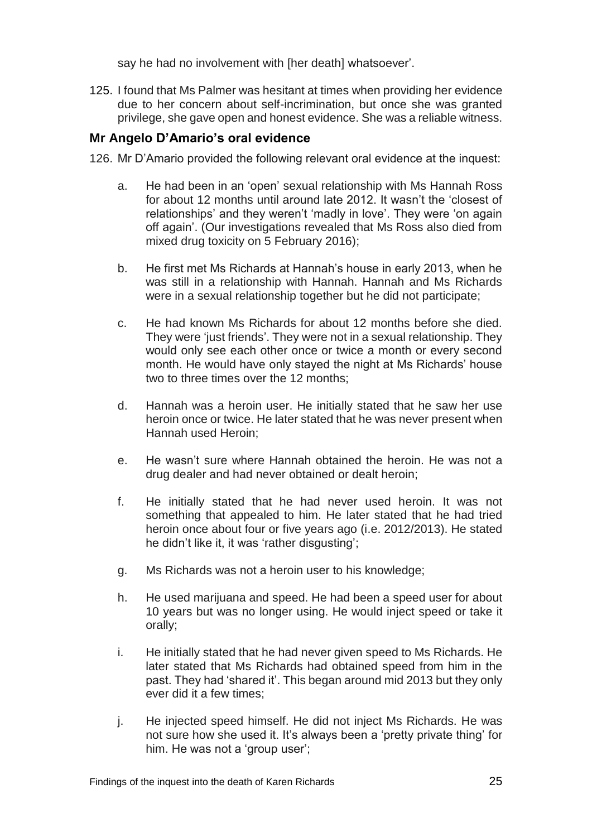say he had no involvement with [her death] whatsoever'.

125. I found that Ms Palmer was hesitant at times when providing her evidence due to her concern about self-incrimination, but once she was granted privilege, she gave open and honest evidence. She was a reliable witness.

## <span id="page-26-0"></span>**Mr Angelo D'Amario's oral evidence**

126. Mr D'Amario provided the following relevant oral evidence at the inquest:

- a. He had been in an 'open' sexual relationship with Ms Hannah Ross for about 12 months until around late 2012. It wasn't the 'closest of relationships' and they weren't 'madly in love'. They were 'on again off again'. (Our investigations revealed that Ms Ross also died from mixed drug toxicity on 5 February 2016);
- b. He first met Ms Richards at Hannah's house in early 2013, when he was still in a relationship with Hannah. Hannah and Ms Richards were in a sexual relationship together but he did not participate;
- c. He had known Ms Richards for about 12 months before she died. They were 'just friends'. They were not in a sexual relationship. They would only see each other once or twice a month or every second month. He would have only stayed the night at Ms Richards' house two to three times over the 12 months;
- d. Hannah was a heroin user. He initially stated that he saw her use heroin once or twice. He later stated that he was never present when Hannah used Heroin;
- e. He wasn't sure where Hannah obtained the heroin. He was not a drug dealer and had never obtained or dealt heroin;
- f. He initially stated that he had never used heroin. It was not something that appealed to him. He later stated that he had tried heroin once about four or five years ago (i.e. 2012/2013). He stated he didn't like it, it was 'rather disgusting';
- g. Ms Richards was not a heroin user to his knowledge;
- h. He used marijuana and speed. He had been a speed user for about 10 years but was no longer using. He would inject speed or take it orally;
- i. He initially stated that he had never given speed to Ms Richards. He later stated that Ms Richards had obtained speed from him in the past. They had 'shared it'. This began around mid 2013 but they only ever did it a few times;
- j. He injected speed himself. He did not inject Ms Richards. He was not sure how she used it. It's always been a 'pretty private thing' for him. He was not a 'group user';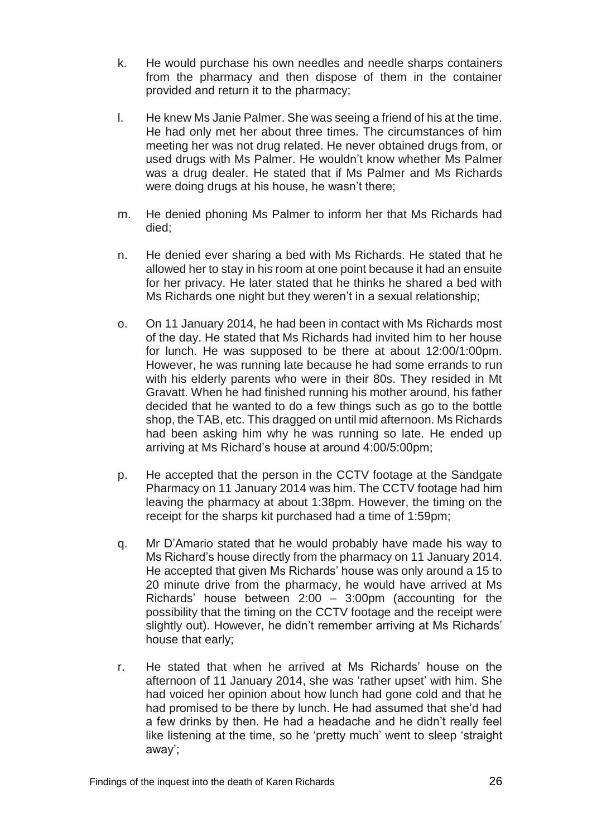- k. He would purchase his own needles and needle sharps containers from the pharmacy and then dispose of them in the container provided and return it to the pharmacy;
- l. He knew Ms Janie Palmer. She was seeing a friend of his at the time. He had only met her about three times. The circumstances of him meeting her was not drug related. He never obtained drugs from, or used drugs with Ms Palmer. He wouldn't know whether Ms Palmer was a drug dealer. He stated that if Ms Palmer and Ms Richards were doing drugs at his house, he wasn't there;
- m. He denied phoning Ms Palmer to inform her that Ms Richards had died;
- n. He denied ever sharing a bed with Ms Richards. He stated that he allowed her to stay in his room at one point because it had an ensuite for her privacy. He later stated that he thinks he shared a bed with Ms Richards one night but they weren't in a sexual relationship;
- o. On 11 January 2014, he had been in contact with Ms Richards most of the day. He stated that Ms Richards had invited him to her house for lunch. He was supposed to be there at about 12:00/1:00pm. However, he was running late because he had some errands to run with his elderly parents who were in their 80s. They resided in Mt Gravatt. When he had finished running his mother around, his father decided that he wanted to do a few things such as go to the bottle shop, the TAB, etc. This dragged on until mid afternoon. Ms Richards had been asking him why he was running so late. He ended up arriving at Ms Richard's house at around 4:00/5:00pm;
- p. He accepted that the person in the CCTV footage at the Sandgate Pharmacy on 11 January 2014 was him. The CCTV footage had him leaving the pharmacy at about 1:38pm. However, the timing on the receipt for the sharps kit purchased had a time of 1:59pm;
- q. Mr D'Amario stated that he would probably have made his way to Ms Richard's house directly from the pharmacy on 11 January 2014. He accepted that given Ms Richards' house was only around a 15 to 20 minute drive from the pharmacy, he would have arrived at Ms Richards' house between 2:00 – 3:00pm (accounting for the possibility that the timing on the CCTV footage and the receipt were slightly out). However, he didn't remember arriving at Ms Richards' house that early;
- r. He stated that when he arrived at Ms Richards' house on the afternoon of 11 January 2014, she was 'rather upset' with him. She had voiced her opinion about how lunch had gone cold and that he had promised to be there by lunch. He had assumed that she'd had a few drinks by then. He had a headache and he didn't really feel like listening at the time, so he 'pretty much' went to sleep 'straight away';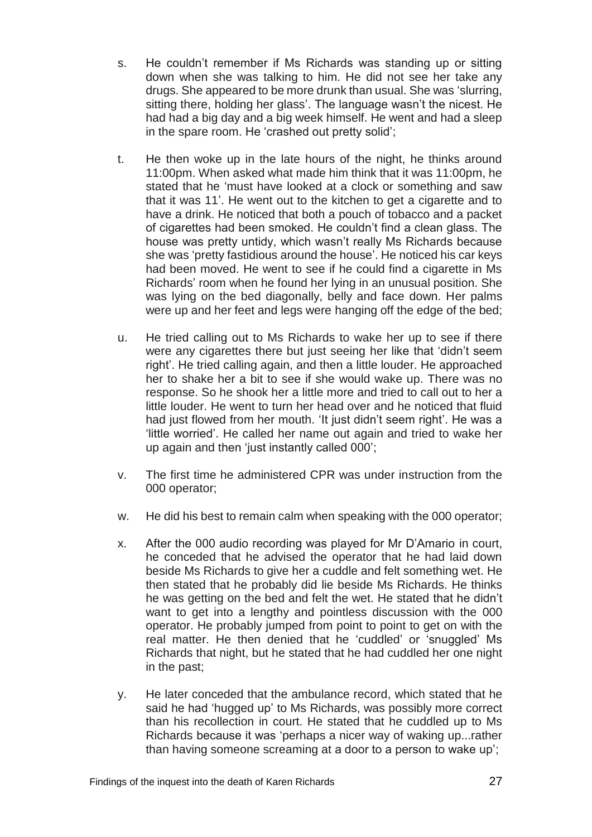- s. He couldn't remember if Ms Richards was standing up or sitting down when she was talking to him. He did not see her take any drugs. She appeared to be more drunk than usual. She was 'slurring, sitting there, holding her glass'. The language wasn't the nicest. He had had a big day and a big week himself. He went and had a sleep in the spare room. He 'crashed out pretty solid';
- t. He then woke up in the late hours of the night, he thinks around 11:00pm. When asked what made him think that it was 11:00pm, he stated that he 'must have looked at a clock or something and saw that it was 11'. He went out to the kitchen to get a cigarette and to have a drink. He noticed that both a pouch of tobacco and a packet of cigarettes had been smoked. He couldn't find a clean glass. The house was pretty untidy, which wasn't really Ms Richards because she was 'pretty fastidious around the house'. He noticed his car keys had been moved. He went to see if he could find a cigarette in Ms Richards' room when he found her lying in an unusual position. She was lying on the bed diagonally, belly and face down. Her palms were up and her feet and legs were hanging off the edge of the bed;
- u. He tried calling out to Ms Richards to wake her up to see if there were any cigarettes there but just seeing her like that 'didn't seem right'. He tried calling again, and then a little louder. He approached her to shake her a bit to see if she would wake up. There was no response. So he shook her a little more and tried to call out to her a little louder. He went to turn her head over and he noticed that fluid had just flowed from her mouth. 'It just didn't seem right'. He was a 'little worried'. He called her name out again and tried to wake her up again and then 'just instantly called 000';
- v. The first time he administered CPR was under instruction from the 000 operator;
- w. He did his best to remain calm when speaking with the 000 operator;
- x. After the 000 audio recording was played for Mr D'Amario in court, he conceded that he advised the operator that he had laid down beside Ms Richards to give her a cuddle and felt something wet. He then stated that he probably did lie beside Ms Richards. He thinks he was getting on the bed and felt the wet. He stated that he didn't want to get into a lengthy and pointless discussion with the 000 operator. He probably jumped from point to point to get on with the real matter. He then denied that he 'cuddled' or 'snuggled' Ms Richards that night, but he stated that he had cuddled her one night in the past;
- y. He later conceded that the ambulance record, which stated that he said he had 'hugged up' to Ms Richards, was possibly more correct than his recollection in court. He stated that he cuddled up to Ms Richards because it was 'perhaps a nicer way of waking up...rather than having someone screaming at a door to a person to wake up';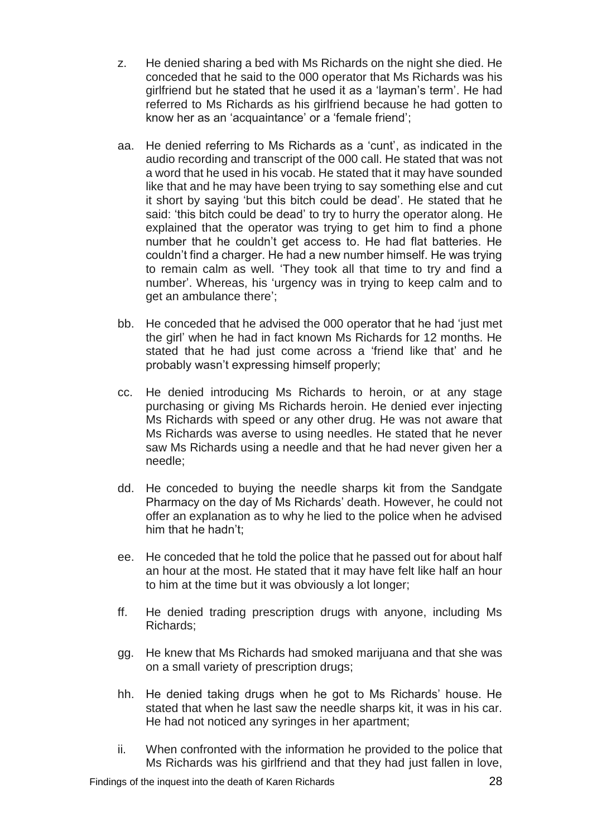- z. He denied sharing a bed with Ms Richards on the night she died. He conceded that he said to the 000 operator that Ms Richards was his girlfriend but he stated that he used it as a 'layman's term'. He had referred to Ms Richards as his girlfriend because he had gotten to know her as an 'acquaintance' or a 'female friend';
- aa. He denied referring to Ms Richards as a 'cunt', as indicated in the audio recording and transcript of the 000 call. He stated that was not a word that he used in his vocab. He stated that it may have sounded like that and he may have been trying to say something else and cut it short by saying 'but this bitch could be dead'. He stated that he said: 'this bitch could be dead' to try to hurry the operator along. He explained that the operator was trying to get him to find a phone number that he couldn't get access to. He had flat batteries. He couldn't find a charger. He had a new number himself. He was trying to remain calm as well. 'They took all that time to try and find a number'. Whereas, his 'urgency was in trying to keep calm and to get an ambulance there';
- bb. He conceded that he advised the 000 operator that he had 'just met the girl' when he had in fact known Ms Richards for 12 months. He stated that he had just come across a 'friend like that' and he probably wasn't expressing himself properly;
- cc. He denied introducing Ms Richards to heroin, or at any stage purchasing or giving Ms Richards heroin. He denied ever injecting Ms Richards with speed or any other drug. He was not aware that Ms Richards was averse to using needles. He stated that he never saw Ms Richards using a needle and that he had never given her a needle;
- dd. He conceded to buying the needle sharps kit from the Sandgate Pharmacy on the day of Ms Richards' death. However, he could not offer an explanation as to why he lied to the police when he advised him that he hadn't;
- ee. He conceded that he told the police that he passed out for about half an hour at the most. He stated that it may have felt like half an hour to him at the time but it was obviously a lot longer;
- ff. He denied trading prescription drugs with anyone, including Ms Richards;
- gg. He knew that Ms Richards had smoked marijuana and that she was on a small variety of prescription drugs;
- hh. He denied taking drugs when he got to Ms Richards' house. He stated that when he last saw the needle sharps kit, it was in his car. He had not noticed any syringes in her apartment;
- ii. When confronted with the information he provided to the police that Ms Richards was his girlfriend and that they had just fallen in love,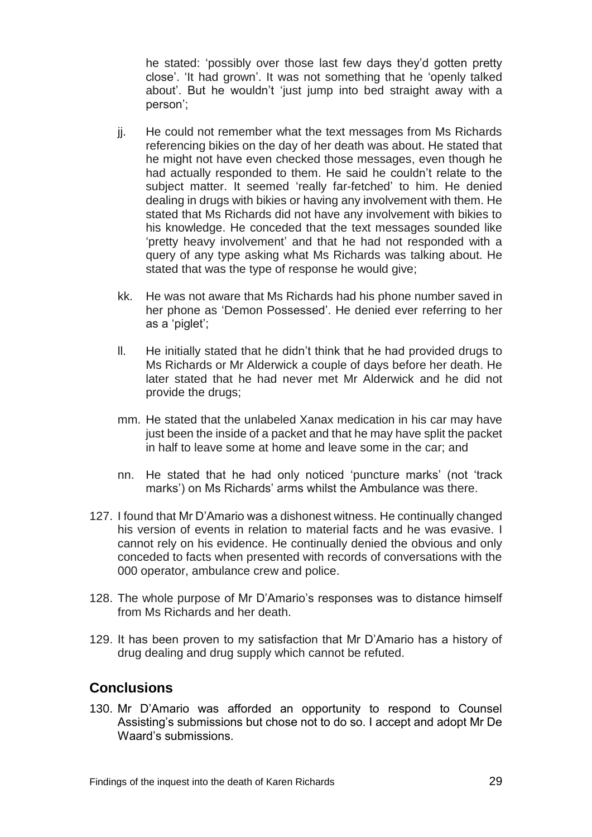he stated: 'possibly over those last few days they'd gotten pretty close'. 'It had grown'. It was not something that he 'openly talked about'. But he wouldn't 'just jump into bed straight away with a person';

- jj. He could not remember what the text messages from Ms Richards referencing bikies on the day of her death was about. He stated that he might not have even checked those messages, even though he had actually responded to them. He said he couldn't relate to the subject matter. It seemed 'really far-fetched' to him. He denied dealing in drugs with bikies or having any involvement with them. He stated that Ms Richards did not have any involvement with bikies to his knowledge. He conceded that the text messages sounded like 'pretty heavy involvement' and that he had not responded with a query of any type asking what Ms Richards was talking about. He stated that was the type of response he would give;
- kk. He was not aware that Ms Richards had his phone number saved in her phone as 'Demon Possessed'. He denied ever referring to her as a 'piglet';
- ll. He initially stated that he didn't think that he had provided drugs to Ms Richards or Mr Alderwick a couple of days before her death. He later stated that he had never met Mr Alderwick and he did not provide the drugs;
- mm. He stated that the unlabeled Xanax medication in his car may have just been the inside of a packet and that he may have split the packet in half to leave some at home and leave some in the car; and
- nn. He stated that he had only noticed 'puncture marks' (not 'track marks') on Ms Richards' arms whilst the Ambulance was there.
- 127. I found that Mr D'Amario was a dishonest witness. He continually changed his version of events in relation to material facts and he was evasive. I cannot rely on his evidence. He continually denied the obvious and only conceded to facts when presented with records of conversations with the 000 operator, ambulance crew and police.
- 128. The whole purpose of Mr D'Amario's responses was to distance himself from Ms Richards and her death.
- 129. It has been proven to my satisfaction that Mr D'Amario has a history of drug dealing and drug supply which cannot be refuted.

## <span id="page-30-0"></span>**Conclusions**

130. Mr D'Amario was afforded an opportunity to respond to Counsel Assisting's submissions but chose not to do so. I accept and adopt Mr De Waard's submissions.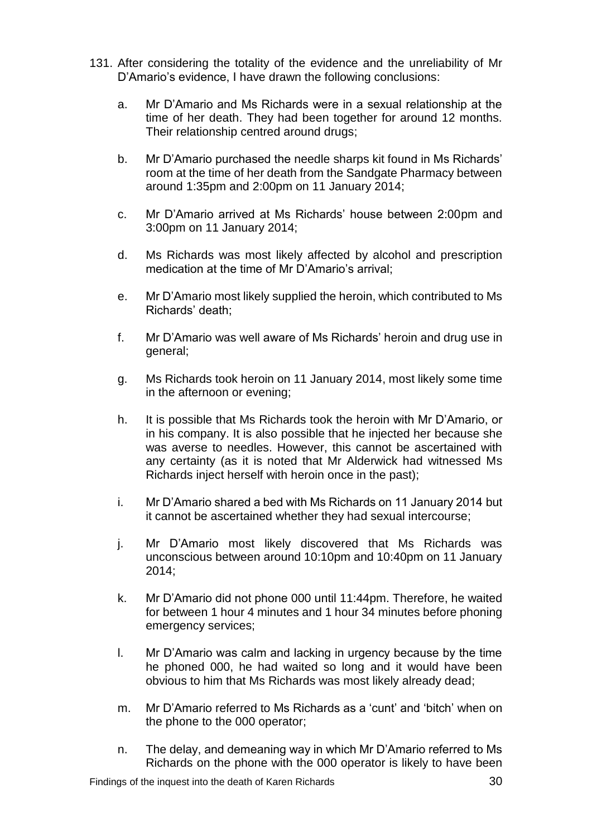- 131. After considering the totality of the evidence and the unreliability of Mr D'Amario's evidence, I have drawn the following conclusions:
	- a. Mr D'Amario and Ms Richards were in a sexual relationship at the time of her death. They had been together for around 12 months. Their relationship centred around drugs;
	- b. Mr D'Amario purchased the needle sharps kit found in Ms Richards' room at the time of her death from the Sandgate Pharmacy between around 1:35pm and 2:00pm on 11 January 2014;
	- c. Mr D'Amario arrived at Ms Richards' house between 2:00pm and 3:00pm on 11 January 2014;
	- d. Ms Richards was most likely affected by alcohol and prescription medication at the time of Mr D'Amario's arrival;
	- e. Mr D'Amario most likely supplied the heroin, which contributed to Ms Richards' death;
	- f. Mr D'Amario was well aware of Ms Richards' heroin and drug use in general;
	- g. Ms Richards took heroin on 11 January 2014, most likely some time in the afternoon or evening;
	- h. It is possible that Ms Richards took the heroin with Mr D'Amario, or in his company. It is also possible that he injected her because she was averse to needles. However, this cannot be ascertained with any certainty (as it is noted that Mr Alderwick had witnessed Ms Richards inject herself with heroin once in the past);
	- i. Mr D'Amario shared a bed with Ms Richards on 11 January 2014 but it cannot be ascertained whether they had sexual intercourse;
	- j. Mr D'Amario most likely discovered that Ms Richards was unconscious between around 10:10pm and 10:40pm on 11 January 2014;
	- k. Mr D'Amario did not phone 000 until 11:44pm. Therefore, he waited for between 1 hour 4 minutes and 1 hour 34 minutes before phoning emergency services;
	- l. Mr D'Amario was calm and lacking in urgency because by the time he phoned 000, he had waited so long and it would have been obvious to him that Ms Richards was most likely already dead;
	- m. Mr D'Amario referred to Ms Richards as a 'cunt' and 'bitch' when on the phone to the 000 operator;
	- n. The delay, and demeaning way in which Mr D'Amario referred to Ms Richards on the phone with the 000 operator is likely to have been